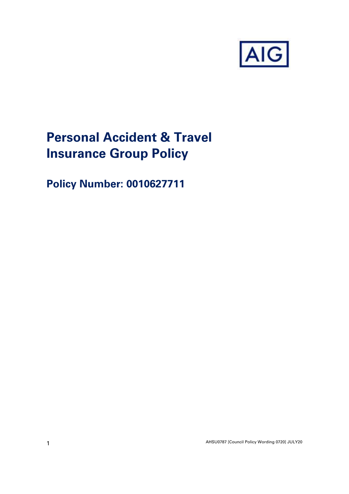

# **Personal Accident & Travel Insurance Group Policy**

**Policy Number: 0010627711**

AHSU0787 [Council Policy Wording 0720] JULY20 1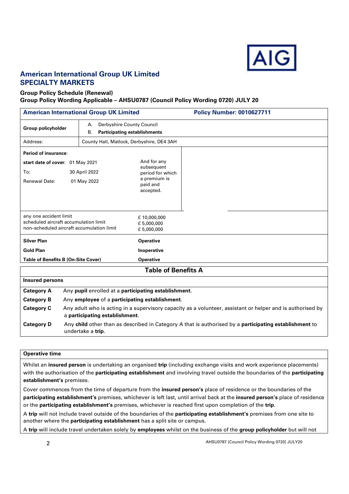

#### **American International Group UK Limited SPECIALTY MARKETS**

#### **Group Policy Schedule (Renewal) Group Policy Wording Applicable – AHSU0787 (Council Policy Wording 0720) JULY 20**

| <b>American International Group UK Limited</b><br><b>Policy Number: 0010627711</b> |                                                                                                                                                         |                                                                                                               |  |
|------------------------------------------------------------------------------------|---------------------------------------------------------------------------------------------------------------------------------------------------------|---------------------------------------------------------------------------------------------------------------|--|
| <b>Group policyholder</b>                                                          | Derbyshire County Council<br>А.<br><b>Participating establishments</b><br>В.                                                                            |                                                                                                               |  |
| Address:                                                                           | County Hall, Matlock, Derbyshire, DE4 3AH                                                                                                               |                                                                                                               |  |
| Period of insurance:                                                               |                                                                                                                                                         |                                                                                                               |  |
| start date of cover: 01 May 2021<br>To:<br><b>Renewal Date:</b>                    | 30 April 2022<br>01 May 2022                                                                                                                            | And for any<br>subsequent<br>period for which<br>a premium is<br>paid and<br>accepted.                        |  |
|                                                                                    | any one accident limit<br>£10,000,000<br>scheduled aircraft accumulation limit<br>£5,000,000<br>non-scheduled aircraft accumulation limit<br>£5,000,000 |                                                                                                               |  |
| <b>Silver Plan</b>                                                                 |                                                                                                                                                         | <b>Operative</b>                                                                                              |  |
| <b>Gold Plan</b>                                                                   | Inoperative                                                                                                                                             |                                                                                                               |  |
|                                                                                    | <b>Table of Benefits B (On-Site Cover)</b><br><b>Operative</b>                                                                                          |                                                                                                               |  |
|                                                                                    |                                                                                                                                                         | <b>Table of Benefits A</b>                                                                                    |  |
| <b>Insured persons</b>                                                             |                                                                                                                                                         |                                                                                                               |  |
| <b>Category A</b>                                                                  | Any pupil enrolled at a participating establishment.                                                                                                    |                                                                                                               |  |
| <b>Category B</b>                                                                  | Any employee of a participating establishment.                                                                                                          |                                                                                                               |  |
| <b>Category C</b>                                                                  | a participating establishment.                                                                                                                          | Any adult who is acting in a supervisory capacity as a volunteer, assistant or helper and is authorised by    |  |
| <b>Category D</b>                                                                  | undertake a trip.                                                                                                                                       | Any child other than as described in Category A that is authorised by a <b>participating establishment</b> to |  |

#### **Operative time**

Whilst an **insured person** is undertaking an organised **trip** (including exchange visits and work experience placements) with the authorisation of the **participating establishment** and involving travel outside the boundaries of the **participating establishment's** premises.

Cover commences from the time of departure from the **insured person's** place of residence or the boundaries of the **participating establishment's** premises, whichever is left last, until arrival back at the **insured person's** place of residence or the **participating establishment's** premises, whichever is reached first upon completion of the **trip**.

A **trip** will not include travel outside of the boundaries of the **participating establishment's** premises from one site to another where the **participating establishment** has a split site or campus.

A **trip** will include travel undertaken solely by **employees** whilst on the business of the **group policyholder** but will not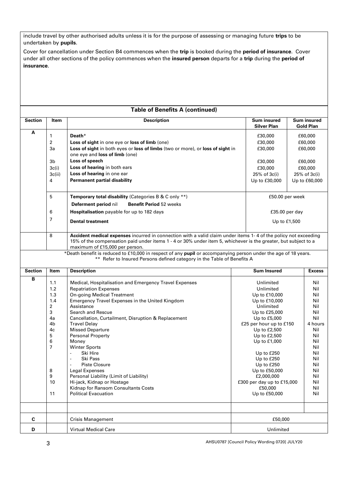include travel by other authorised adults unless it is for the purpose of assessing or managing future **trips** to be undertaken by **pupils**.

Cover for cancellation under Section B4 commences when the **trip** is booked during the **period of insurance**. Cover under all other sections of the policy commences when the **insured person** departs for a **trip** during the **period of insurance**.

#### **Table of Benefits A (continued)**

| Section        | Item    | <b>Description</b>                                                                                                                                                                                                                                                  | <b>Sum insured</b><br><b>Silver Plan</b> | <b>Sum insured</b><br><b>Gold Plan</b> |
|----------------|---------|---------------------------------------------------------------------------------------------------------------------------------------------------------------------------------------------------------------------------------------------------------------------|------------------------------------------|----------------------------------------|
| A              | 1<br>2  | Death*<br>Loss of sight in one eye or loss of limb (one)                                                                                                                                                                                                            | £30,000<br>£30,000                       | £60,000<br>£60,000                     |
|                | За      | Loss of sight in both eyes or loss of limbs (two or more), or loss of sight in<br>one eye and loss of limb (one)                                                                                                                                                    | £30,000                                  | £60,000                                |
|                | 3b      | Loss of speech                                                                                                                                                                                                                                                      | £30,000                                  | £60,000                                |
|                | 3c(i)   | Loss of hearing in both ears                                                                                                                                                                                                                                        | £30,000                                  | £60,000                                |
|                | 3c(ii)  | Loss of hearing in one ear                                                                                                                                                                                                                                          | 25% of 3c(i)                             | $25%$ of $3c(i)$                       |
|                | 4       | <b>Permanent partial disability</b>                                                                                                                                                                                                                                 | Up to £30,000                            | Up to £60,000                          |
|                | 5       | Temporary total disability (Categories B & C only **)                                                                                                                                                                                                               | £50.00 per week                          |                                        |
|                |         | Deferment period nil<br><b>Benefit Period 52 weeks</b>                                                                                                                                                                                                              |                                          |                                        |
|                | 6       | Hospitalisation payable for up to 182 days                                                                                                                                                                                                                          | $£35.00$ per day                         |                                        |
|                | 7       | <b>Dental treatment</b>                                                                                                                                                                                                                                             | Up to £1,500                             |                                        |
|                | 8       | Accident medical expenses incurred in connection with a valid claim under items 1-4 of the policy not exceeding<br>15% of the compensation paid under items 1 - 4 or 30% under item 5, whichever is the greater, but subject to a<br>maximum of £15,000 per person. |                                          |                                        |
|                |         | *Death benefit is reduced to £10,000 in respect of any pupil or accompanying person under the age of 18 years.<br>** Refer to Insured Persons defined category in the Table of Benefits A                                                                           |                                          |                                        |
| <b>Section</b> | Item    | <b>Description</b>                                                                                                                                                                                                                                                  | <b>Sum Insured</b>                       | <b>Excess</b>                          |
| В              | 1.1     | Medical, Hospitalisation and Emergency Travel Expenses                                                                                                                                                                                                              | Unlimited                                | Nil                                    |
|                | 1.2     | <b>Repatriation Expenses</b>                                                                                                                                                                                                                                        | Unlimited                                | Nil                                    |
|                | 1.3     | <b>On-going Medical Treatment</b>                                                                                                                                                                                                                                   | Up to £10,000                            | Nil                                    |
|                | 1.4     | Emergency Travel Expenses in the United Kingdom                                                                                                                                                                                                                     | Up to £10,000                            | Nil                                    |
|                | 2       | Assistance                                                                                                                                                                                                                                                          | Unlimited                                | Nil                                    |
|                | 3<br>4a | Search and Rescue<br>Cancellation, Curtailment, Disruption & Replacement                                                                                                                                                                                            | Up to £25,000<br>Up to £5,000            | Nil<br>Nil                             |
|                | 4b      | <b>Travel Delay</b>                                                                                                                                                                                                                                                 | £25 per hour up to £150                  | 4 hours                                |
|                | 4c      | <b>Missed Departure</b>                                                                                                                                                                                                                                             | Up to £2,500                             | Nil                                    |
|                | 5       | <b>Personal Property</b>                                                                                                                                                                                                                                            | Up to £2,500                             | Nil                                    |
|                | 6       | Money                                                                                                                                                                                                                                                               | Up to £1,000                             | Nil                                    |
|                | 7       | <b>Winter Sports</b>                                                                                                                                                                                                                                                |                                          | Nil                                    |
|                |         | Ski Hire                                                                                                                                                                                                                                                            | Up to £250                               | Nil                                    |
|                |         | Ski Pass<br><b>Piste Closure</b>                                                                                                                                                                                                                                    | Up to £250<br>Up to £250                 | Nil<br>Nil                             |
|                | 8       | Legal Expenses                                                                                                                                                                                                                                                      | Up to £50,000                            | Nil                                    |
|                | q       | Personal Liability (Limit of Liability)                                                                                                                                                                                                                             | £2,000,000                               | Nil                                    |
|                | 10      | Hi-jack, Kidnap or Hostage                                                                                                                                                                                                                                          | £300 per day up to £15,000               | Nil                                    |
|                |         | Kidnap for Ransom Consultants Costs                                                                                                                                                                                                                                 | £50,000                                  | Nil                                    |
|                | 11      | <b>Political Evacuation</b>                                                                                                                                                                                                                                         | Up to £50,000                            | Nil                                    |
|                |         |                                                                                                                                                                                                                                                                     |                                          |                                        |
| C              |         | <b>Crisis Management</b>                                                                                                                                                                                                                                            | £50,000                                  |                                        |
| D              |         | <b>Virtual Medical Care</b>                                                                                                                                                                                                                                         | Unlimited                                |                                        |

AHSU0787 [Council Policy Wording 0720] JULY20 3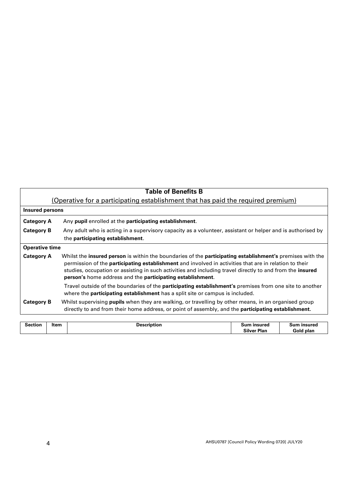|                       | <b>Table of Benefits B</b>                                                                                                                                                                                                                                                                                                                                                                                                 |
|-----------------------|----------------------------------------------------------------------------------------------------------------------------------------------------------------------------------------------------------------------------------------------------------------------------------------------------------------------------------------------------------------------------------------------------------------------------|
|                       | (Operative for a participating establishment that has paid the required premium)                                                                                                                                                                                                                                                                                                                                           |
| Insured persons       |                                                                                                                                                                                                                                                                                                                                                                                                                            |
| <b>Category A</b>     | Any pupil enrolled at the participating establishment.                                                                                                                                                                                                                                                                                                                                                                     |
| <b>Category B</b>     | Any adult who is acting in a supervisory capacity as a volunteer, assistant or helper and is authorised by<br>the participating establishment.                                                                                                                                                                                                                                                                             |
| <b>Operative time</b> |                                                                                                                                                                                                                                                                                                                                                                                                                            |
| <b>Category A</b>     | Whilst the <b>insured person</b> is within the boundaries of the <b>participating establishment's</b> premises with the<br>permission of the <b>participating establishment</b> and involved in activities that are in relation to their<br>studies, occupation or assisting in such activities and including travel directly to and from the <b>insured</b><br>person's home address and the participating establishment. |
|                       | Travel outside of the boundaries of the <b>participating establishment's</b> premises from one site to another<br>where the <b>participating establishment</b> has a split site or campus is included.                                                                                                                                                                                                                     |
| <b>Category B</b>     | Whilst supervising pupils when they are walking, or travelling by other means, in an organised group<br>directly to and from their home address, or point of assembly, and the <b>participating establishment</b> .                                                                                                                                                                                                        |

| Item<br>--------<br><b>Jacquintio</b><br>пог | .<br>$P^{\prime}$<br>ਾ੧r Plan<br>~…<br>تمسات<br>____ | .<br><br>.<br>ו הו הי<br>-plar |
|----------------------------------------------|------------------------------------------------------|--------------------------------|
|----------------------------------------------|------------------------------------------------------|--------------------------------|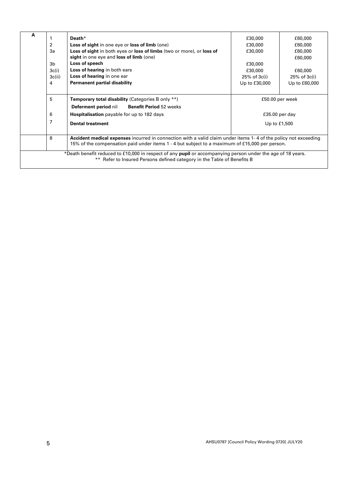| A |                                                                                                | Death*                                                                                                          | £30,000          | £60,000          |
|---|------------------------------------------------------------------------------------------------|-----------------------------------------------------------------------------------------------------------------|------------------|------------------|
|   | 2                                                                                              | Loss of sight in one eye or loss of limb (one)                                                                  | £30,000          | £60,000          |
|   | 3a                                                                                             | Loss of sight in both eyes or loss of limbs (two or more), or loss of                                           | £30,000          | £60,000          |
|   |                                                                                                | sight in one eye and loss of limb (one)                                                                         |                  | £60,000          |
|   | 3b                                                                                             | Loss of speech                                                                                                  | £30,000          |                  |
|   | 3c(i)                                                                                          | Loss of hearing in both ears                                                                                    | £30,000          | £60,000          |
|   | 3c(ii)                                                                                         | Loss of hearing in one ear                                                                                      | $25%$ of $3c(i)$ | $25%$ of $3c(i)$ |
|   | 4                                                                                              | <b>Permanent partial disability</b>                                                                             | Up to £30,000    | Up to £60,000    |
|   |                                                                                                |                                                                                                                 |                  |                  |
|   | 5                                                                                              | <b>Temporary total disability (Categories B only **)</b>                                                        |                  | £50.00 per week  |
|   |                                                                                                | Deferment period nil<br><b>Benefit Period 52 weeks</b>                                                          |                  |                  |
|   | 6                                                                                              | Hospitalisation payable for up to 182 days                                                                      | $£35.00$ per day |                  |
|   | 7                                                                                              | <b>Dental treatment</b>                                                                                         | Up to £1,500     |                  |
|   |                                                                                                |                                                                                                                 |                  |                  |
|   | 8                                                                                              | Accident medical expenses incurred in connection with a valid claim under items 1-4 of the policy not exceeding |                  |                  |
|   | 15% of the compensation paid under items 1 - 4 but subject to a maximum of £15,000 per person. |                                                                                                                 |                  |                  |
|   |                                                                                                | *Death benefit reduced to £10,000 in respect of any pupil or accompanying person under the age of 18 years.     |                  |                  |
|   |                                                                                                | ** Refer to Insured Persons defined category in the Table of Benefits B                                         |                  |                  |
|   |                                                                                                |                                                                                                                 |                  |                  |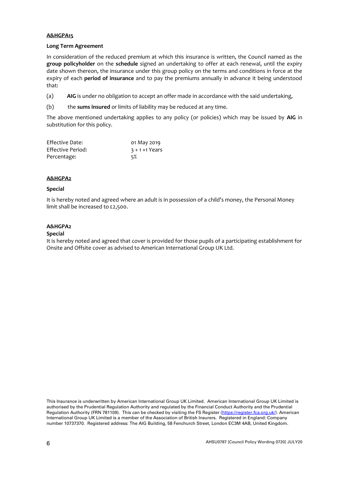#### **A&HGPA15**

#### **Long Term Agreement**

In consideration of the reduced premium at which this insurance is written, the Council named as the **group policyholder** on the **schedule** signed an undertaking to offer at each renewal, until the expiry date shown thereon, the insurance under this group policy on the terms and conditions in force at the expiry of each **period of insurance** and to pay the premiums annually in advance it being understood that:

- (a) **AIG** is under no obligation to accept an offer made in accordance with the said undertaking,
- (b) the **sums insured** or limits of liability may be reduced at any time.

The above mentioned undertaking applies to any policy (or policies) which may be issued by **AIG** in substitution for this policy.

| Effective Date:   | 01 May 2019       |
|-------------------|-------------------|
| Effective Period: | $3 + 1 + 1$ Years |
| Percentage:       | 5%                |

#### **A&HGPA2**

#### **Special**

It is hereby noted and agreed where an adult is in possession of a child's money, the Personal Money limit shall be increased to £2,500.

#### **A&HGPA2**

#### **Special**

It is hereby noted and agreed that cover is provided for those pupils of a participating establishment for Onsite and Offsite cover as advised to American International Group UK Ltd.

This Insurance is underwritten by American International Group UK Limited. American International Group UK Limited is authorised by the Prudential Regulation Authority and regulated by the Financial Conduct Authority and the Prudential Regulation Authority (FRN 781109). This can be checked by visiting the FS Register [\(https://register.fca.org.uk/\)](https://register.fca.org.uk/). American International Group UK Limited is a member of the Association of British Insurers. Registered in England: Company number 10737370. Registered address: The AIG Building, 58 Fenchurch Street, London EC3M 4AB, United Kingdom.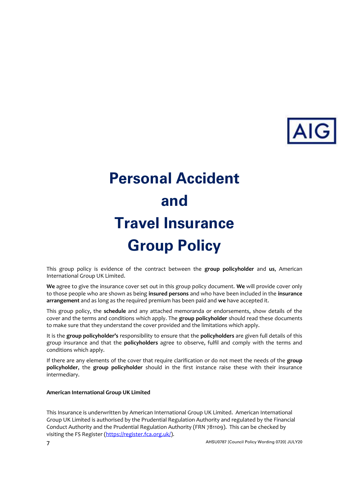

# **Personal Accident and Travel Insurance Group Policy**

This group policy is evidence of the contract between the **group policyholder** and **us**, American International Group UK Limited.

**We** agree to give the insurance cover set out in this group policy document. **We** will provide cover only to those people who are shown as being **insured persons** and who have been included in the **insurance arrangement** and as long as the required premium has been paid and **we** have accepted it.

This group policy, the **schedule** and any attached memoranda or endorsements, show details of the cover and the terms and conditions which apply. The **group policyholder** should read these documents to make sure that they understand the cover provided and the limitations which apply.

It is the **group policyholder's** responsibility to ensure that the **policyholders** are given full details of this group insurance and that the **policyholders** agree to observe, fulfil and comply with the terms and conditions which apply.

If there are any elements of the cover that require clarification or do not meet the needs of the **group policyholder**, the **group policyholder** should in the first instance raise these with their insurance intermediary.

#### **American International Group UK Limited**

This Insurance is underwritten by American International Group UK Limited. American International Group UK Limited is authorised by the Prudential Regulation Authority and regulated by the Financial Conduct Authority and the Prudential Regulation Authority (FRN 781109). This can be checked by visiting the FS Register [\(https://register.fca.org.uk/\)](https://register.fca.org.uk/).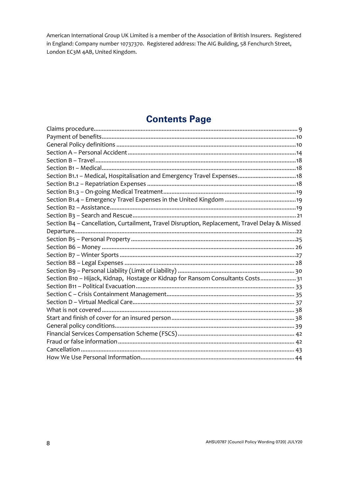American International Group UK Limited is a member of the Association of British Insurers. Registered in England: Company number 10737370. Registered address: The AIG Building, 58 Fenchurch Street, London EC3M 4AB, United Kingdom.

### **Contents Page**

| Section B4 - Cancellation, Curtailment, Travel Disruption, Replacement, Travel Delay & Missed |
|-----------------------------------------------------------------------------------------------|
|                                                                                               |
|                                                                                               |
|                                                                                               |
|                                                                                               |
|                                                                                               |
|                                                                                               |
| Section B10 - Hijack, Kidnap, Hostage or Kidnap for Ransom Consultants Costs 31               |
|                                                                                               |
|                                                                                               |
|                                                                                               |
|                                                                                               |
|                                                                                               |
|                                                                                               |
|                                                                                               |
|                                                                                               |
|                                                                                               |
|                                                                                               |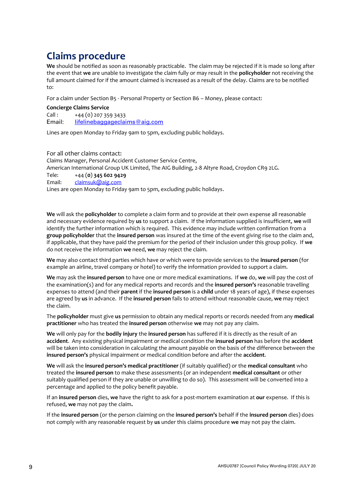# <span id="page-8-0"></span>**Claims procedure**

**We** should be notified as soon as reasonably practicable. The claim may be rejected if it is made so long after the event that **we** are unable to investigate the claim fully or may result in the **policyholder** not receiving the full amount claimed for if the amount claimed is increased as a result of the delay. Claims are to be notified to:

For a claim under Section B5 - Personal Property or Section B6 – Money, please contact:

#### **Concierge Claims Service**

 $Call:$  +44 (0) 207 359 3433 Email: [lifelinebaggageclaims@aig.com](mailto:lifelinebaggageclaims@aig.com)

Lines are open Monday to Friday 9am to 5pm, excluding public holidays.

For all other claims contact: Claims Manager, Personal Accident Customer Service Centre, American International Group UK Limited, The AIG Building, 2-8 Altyre Road, Croydon CR9 2LG. Tele: +44 (**0**) **345 602 9429** Email: [claimsuk@aig.com](mailto:claimsuk@aig.com) Lines are open Monday to Friday 9am to 5pm, excluding public holidays.

**We** will ask the **policyholder** to complete a claim form and to provide at their own expense all reasonable and necessary evidence required by **us** to support a claim. If the information supplied is insufficient, **we** will identify the further information which is required. This evidence may include written confirmation from a **group policyholder** that the **insured person** was insured at the time of the event giving rise to the claim and, if applicable, that they have paid the premium for the period of their inclusion under this group policy. If **we**  do not receive the information **we** need, **we** may reject the claim.

**We** may also contact third parties which have or which were to provide services to the **insured person** (for example an airline, travel company or hotel) to verify the information provided to support a claim.

**We** may ask the **insured person** to have one or more medical examinations. If **we** do, **we** will pay the cost of the examination(s) and for any medical reports and records and the **insured person's** reasonable travelling expenses to attend (and their **parent** if the **insured person** is a **child** under 18 years of age), if these expenses are agreed by **us** in advance. If the **insured person** fails to attend without reasonable cause, **we** may reject the claim.

The **policyholder** must give **us** permission to obtain any medical reports or records needed from any **medical practitioner** who has treated the **insured person** otherwise **we** may not pay any claim.

**We** will only pay for the **bodily injury** the **insured person** has suffered if it is directly as the result of an **accident**. Any existing physical impairment or medical condition the **insured person** has before the **accident**  will be taken into consideration in calculating the amount payable on the basis of the difference between the **insured person's** physical impairment or medical condition before and after the **accident**.

**We** will ask the **insured person's medical practitioner** (if suitably qualified) or the **medical consultant** who treated the **insured person** to make these assessments (or an independent **medical consultant** or other suitably qualified person if they are unable or unwilling to do so). This assessment will be converted into a percentage and applied to the policy benefit payable.

If an **insured person** dies, **we** have the right to ask for a post-mortem examination at **our** expense. If this is refused, **we** may not pay the claim**.**

If the **insured person** (or the person claiming on the **insured person's** behalf if the **insured person** dies) does not comply with any reasonable request by **us** under this claims procedure **we** may not pay the claim.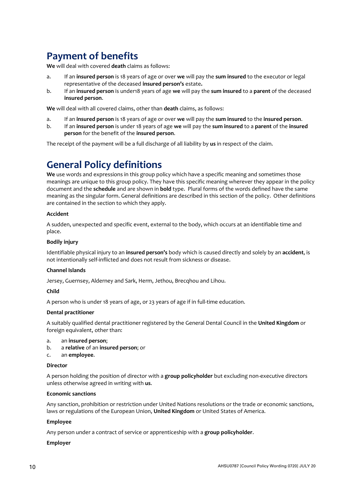# <span id="page-9-0"></span>**Payment of benefits**

**We** will deal with covered **death** claims as follows:

- a. If an **insured person** is 18 years of age or over **we** will pay the **sum insured** to the executor or legal representative of the deceased **insured person's** estate**.**
- b. If an **insured person** is under18 years of age **we** will pay the **sum insured** to a **parent** of the deceased **insured person**.

**We** will deal with all covered claims, other than **death** claims, as follows:

- a. If an **insured person** is 18 years of age or over **we** will pay the **sum insured** to the **insured person**.
- b. If an **insured person** is under 18 years of age **we** will pay the **sum insured** to a **parent** of the **insured person** for the benefit of the **insured person**.

The receipt of the payment will be a full discharge of all liability by **us** in respect of the claim.

### <span id="page-9-1"></span>**General Policy definitions**

**We** use words and expressions in this group policy which have a specific meaning and sometimes those meanings are unique to this group policy. They have this specific meaning wherever they appear in the policy document and the **schedule** and are shown in **bold** type. Plural forms of the words defined have the same meaning as the singular form. General definitions are described in this section of the policy. Other definitions are contained in the section to which they apply.

#### **Accident**

A sudden, unexpected and specific event, external to the body, which occurs at an identifiable time and place.

#### **Bodily injury**

Identifiable physical injury to an **insured person's** body which is caused directly and solely by an **accident**, is not intentionally self-inflicted and does not result from sickness or disease.

#### **Channel Islands**

Jersey, Guernsey, Alderney and Sark, Herm, Jethou, Brecqhou and Lihou.

#### **Child**

A person who is under 18 years of age, or 23 years of age if in full-time education.

#### **Dental practitioner**

A suitably qualified dental practitioner registered by the General Dental Council in the **United Kingdom** or foreign equivalent, other than:

- a. an **insured person**;
- b. a **relative** of an **insured person**; or
- c. an **employee**.

#### **Director**

A person holding the position of director with a **group policyholder** but excluding non-executive directors unless otherwise agreed in writing with **us**.

#### **Economic sanctions**

Any sanction, prohibition or restriction under United Nations resolutions or the trade or economic sanctions, laws or regulations of the European Union, **United Kingdom** or United States of America.

#### **Employee**

Any person under a contract of service or apprenticeship with a **group policyholder**.

#### **Employer**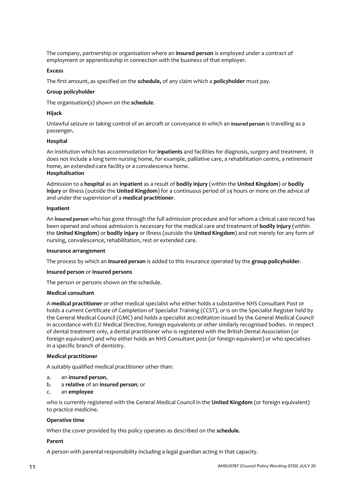The company, partnership or organisation where an **insured person** is employed under a contract of employment or apprenticeship in connection with the business of that employer.

#### **Excess**

The first amount, as specified on the **schedule,** of any claim which a **policyholder** must pay.

#### **Group policyholder**

The organisation(s) shown on the **schedule**.

#### **Hijack**

Unlawful seizure or taking control of an aircraft or conveyance in which an **insured person** is travelling as a passenger**.**

#### **Hospital**

An institution which has accommodation for **inpatients** and facilities for diagnosis, surgery and treatment. It does not include a long term nursing home, for example, palliative care, a rehabilitation centre, a retirement home, an extended-care facility or a convalescence home. **Hospitalisation**

Admission to a **hospital** as an **inpatient** as a result of **bodily injury** (within the **United Kingdom**) or **bodily injury** or illness (outside the **United Kingdom**) for a continuous period of 24 hours or more on the advice of and under the supervision of a **medical practitioner**.

#### **Inpatient**

An **insured person** who has gone through the full admission procedure and for whom a clinical case record has been opened and whose admission is necessary for the medical care and treatment of **bodily injury** (within the **United Kingdom**) or **bodily injury** or illness (outside the **United Kingdom**) and not merely for any form of nursing, convalescence, rehabilitation, rest or extended care.

#### **Insurance arrangement**

The process by which an **insured person** is added to this insurance operated by the **group policyholder**.

#### **Insured person** or **insured persons**

The person or persons shown on the schedule.

#### **Medical consultant**

A **medical practitioner** or other medical specialist who either holds a substantive NHS Consultant Post or holds a current Certificate of Completion of Specialist Training (CCST), or is on the Specialist Register held by the General Medical Council (GMC) and holds a specialist accreditation issued by the General Medical Council in accordance with EU Medical Directive, foreign equivalents or other similarly recognised bodies. In respect of dental treatment only, a dental practitioner who is registered with the British Dental Association (or foreign equivalent) and who either holds an NHS Consultant post (or foreign equivalent) or who specialises in a specific branch of dentistry.

#### **Medical practitioner**

A suitably qualified medical practitioner other than:

- a. an **insured person**,
- b. a **relative** of an **insured person***;* or

#### c. an **employee**

who is currently registered with the General Medical Council in the **United Kingdom** (or foreign equivalent) to practice medicine.

#### **Operative time**

When the cover provided by this policy operates as described on the **schedule**.

#### **Parent**

A person with parental responsibility including a legal guardian acting in that capacity.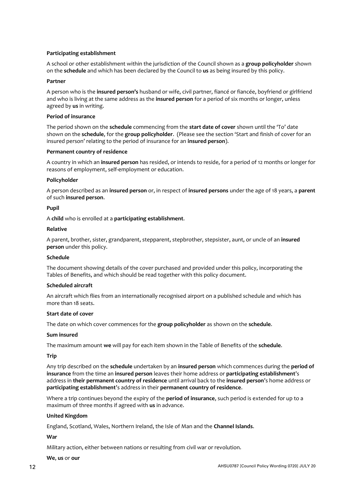#### **Participating establishment**

A school or other establishment within the jurisdiction of the Council shown as a **group policyholder** shown on the **schedule** and which has been declared by the Council to **us** as being insured by this policy.

#### **Partner**

A person who is the **insured person's** husband or wife, civil partner, fiancé or fiancée, boyfriend or girlfriend and who is living at the same address as the **insured person** for a period of six months or longer, unless agreed by **us** in writing.

#### **Period of insurance**

The period shown on the **schedule** commencing from the **start date of cover** shown until the 'To' date shown on the **schedule**, for the **group policyholder**.(Please see the section 'Start and finish of cover for an insured person' relating to the period of insurance for an **insured person**).

#### **Permanent country of residence**

A country in which an **insured person** has resided, or intends to reside, for a period of 12 months or longer for reasons of employment, self-employment or education.

#### **Policyholder**

A person described as an **insured person** or, in respect of **insured persons** under the age of 18 years, a **parent** of such **insured person**.

#### **Pupil**

A **child** who is enrolled at a **participating establishment**.

#### **Relative**

A parent, brother, sister, grandparent, stepparent, stepbrother, stepsister, aunt, or uncle of an **insured person** under this policy.

#### **Schedule**

The document showing details of the cover purchased and provided under this policy, incorporating the Tables of Benefits, and which should be read together with this policy document.

#### **Scheduled aircraft**

An aircraft which flies from an internationally recognised airport on a published schedule and which has more than 18 seats.

#### **Start date of cover**

The date on which cover commences for the **group policyholder** as shown on the **schedule**.

#### **Sum insured**

The maximum amount **we** will pay for each item shown in the Table of Benefits of the **schedule**.

#### **Trip**

Any trip described on the **schedule** undertaken by an **insured person** which commences during the **period of insurance** from the time an **insured person** leaves their home address or **participating establishment**'s address in **their permanent country of residence** until arrival back to the **insured person**'s home address or **participating establishment**'s address in their **permanent country of residence**.

Where a trip continues beyond the expiry of the **period of insurance**, such period is extended for up to a maximum of three months if agreed with **us** in advance.

#### **United Kingdom**

England, Scotland, Wales, Northern Ireland, the Isle of Man and the **Channel Islands**.

#### **War**

Military action, either between nations or resulting from civil war or revolution.

#### **We**, **us** or **our**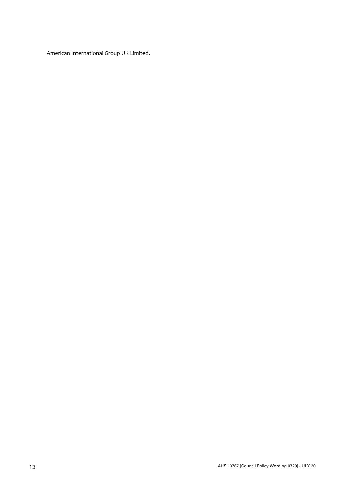American International Group UK Limited.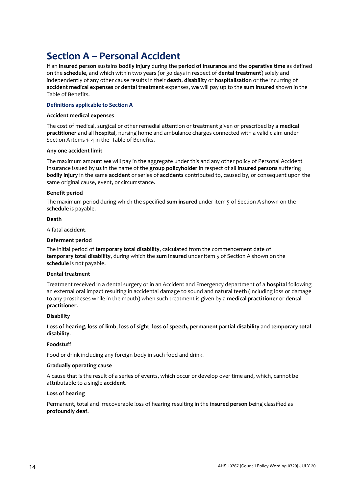# <span id="page-13-0"></span>**Section A – Personal Accident**

If an **insured person** sustains **bodily injury** during the **period of insurance** and the **operative time** as defined on the **schedule**, and which within two years (or 30 days in respect of **dental treatment**) solely and independently of any other cause results in their **death**, **disability** or **hospitalisation** or the incurring of **accident medical expenses** or **dental treatment** expenses, **we** will pay up to the **sum insured** shown in the Table of Benefits.

#### **Definitions applicable to Section A**

#### **Accident medical expenses**

The cost of medical, surgical or other remedial attention or treatment given or prescribed by a **medical practitioner** and all **hospital**, nursing home and ambulance charges connected with a valid claim under Section A items 1- 4 in the Table of Benefits.

#### **Any one accident limit**

The maximum amount **we** will pay in the aggregate under this and any other policy of Personal Accident Insurance issued by **us** in the name of the **group policyholder** in respect of all **insured persons** suffering **bodily injury** in the same **accident** or series of **accidents** contributed to, caused by, or consequent upon the same original cause, event, or circumstance.

#### **Benefit period**

The maximum period during which the specified **sum insured** under item 5 of Section A shown on the **schedule** is payable.

#### **Death**

A fatal **accident**.

#### **Deferment period**

The initial period of **temporary total disability**, calculated from the commencement date of **temporary total disability**, during which the **sum insured** under item 5 of Section A shown on the **schedule** is not payable.

#### **Dental treatment**

Treatment received in a dental surgery or in an Accident and Emergency department of a **hospital** following an external oral impact resulting in accidental damage to sound and natural teeth (including loss or damage to any prostheses while in the mouth) when such treatment is given by a **medical practitioner** or **dental practitioner**.

#### **Disability**

**Loss of hearing**, **loss of limb**, **loss of sight**, **loss of speech, permanent partial disability** and **temporary total disability**.

#### **Foodstuff**

Food or drink including any foreign body in such food and drink.

#### **Gradually operating cause**

A cause that is the result of a series of events, which occur or develop over time and, which, cannot be attributable to a single **accident**.

#### **Loss of hearing**

Permanent, total and irrecoverable loss of hearing resulting in the **insured person** being classified as **profoundly deaf**.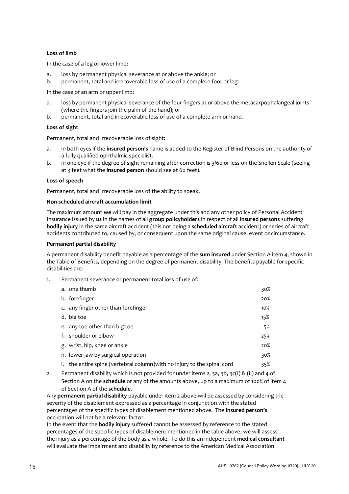#### **Loss of limb**

In the case of a leg or lower limb:

- a. loss by permanent physical severance at or above the ankle; or b. permanent, total and irrecoverable loss of use of a complete for
- permanent, total and irrecoverable loss of use of a complete foot or leg.

In the case of an arm or upper limb:

- a. loss by permanent physical severance of the four fingers at or above the metacarpophalangeal joints (where the fingers join the palm of the hand); or
- b. permanent, total and irrecoverable loss of use of a complete arm or hand.

#### **Loss of sight**

Permanent, total and irrecoverable loss of sight:

- a. in both eyes if the **insured person's** name is added to the Register of Blind Persons on the authority of a fully qualified ophthalmic specialist.
- b. in one eye if the degree of sight remaining after correction is 3/60 or less on the Snellen Scale (seeing at 3 feet what the **insured person** should see at 60 feet).

#### **Loss of speech**

Permanent, total and irrecoverable loss of the ability to speak.

#### **Non-scheduled aircraft accumulation limit**

The maximum amount **we** will pay in the aggregate under this and any other policy of Personal Accident Insurance issued by **us** in the names of all **group policyholders** in respect of all **insured persons** suffering **bodily injury** in the same aircraft accident (this not being a **scheduled aircraft** accident) or series of aircraft accidents contributed to, caused by, or consequent upon the same original cause, event or circumstance.

#### **Permanent partial disability**

A permanent disability benefit payable as a percentage of the **sum insured** under Section A item 4, shown in the Table of Benefits, depending on the degree of permanent disability. The benefits payable for specific disabilities are:

1. Permanent severance or permanent total loss of use of:

|    | a. one thumb                                                          | 30%    |
|----|-----------------------------------------------------------------------|--------|
|    | b. forefinger                                                         | 20%    |
|    | c. any finger other than forefinger                                   | $10\%$ |
|    | d. big toe                                                            | 15%    |
|    | e. any toe other than big toe                                         | 5%     |
|    | f. shoulder or elbow                                                  | 25%    |
|    | g. wrist, hip, knee or ankle                                          | 20%    |
|    | h. lower jaw by surgical operation                                    | 30%    |
| i. | the entire spine (vertebral column) with no injury to the spinal cord | 35%    |

2. Permanent disability which is not provided for under items 2, 3a, 3b, 3c(i) & (ii) and 4 of Section A on the **schedule** or any of the amounts above, up to a maximum of 100% of item 4 of Section A of the **schedule**.

Any **permanent partial disability** payable under item 2 above will be assessed by considering the severity of the disablement expressed as a percentage in conjunction with the stated percentages of the specific types of disablement mentioned above. The **insured person's** occupation will not be a relevant factor.

In the event that the **bodily injury** suffered cannot be assessed by reference to the stated percentages of the specific types of disablement mentioned in the table above, **we** will assess the injury as a percentage of the body as a whole. To do this an independent **medical consultant** will evaluate the impairment and disability by reference to the American Medical Association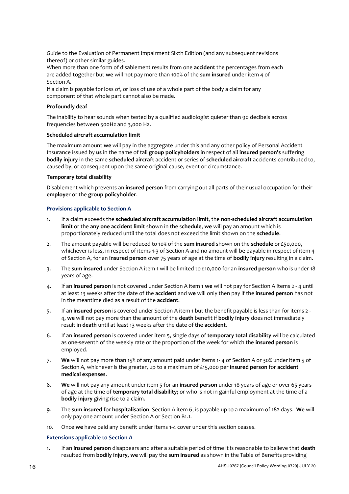Guide to the Evaluation of Permanent Impairment Sixth Edition (and any subsequent revisions thereof) or other similar guides.

When more than one form of disablement results from one **accident** the percentages from each are added together but **we** will not pay more than 100% of the **sum insured** under item 4 of Section A.

If a claim is payable for loss of, or loss of use of a whole part of the body a claim for any component of that whole part cannot also be made.

#### **Profoundly deaf**

The inability to hear sounds when tested by a qualified audiologist quieter than 90 decibels across frequencies between 500Hz and 3,000 Hz.

#### **Scheduled aircraft accumulation limit**

The maximum amount **we** will pay in the aggregate under this and any other policy of Personal Accident Insurance issued by **us** in the name of tall **group policyholders** in respect of all **insured person's** suffering **bodily injury** in the same **scheduled aircraft** accident or series of **scheduled aircraft** accidents contributed to, caused by, or consequent upon the same original cause, event or circumstance.

#### **Temporary total disability**

Disablement which prevents an **insured person** from carrying out all parts of their usual occupation for their **employer** or the **group policyholder**.

#### **Provisions applicable to Section A**

- 1. If a claim exceeds the **scheduled aircraft accumulation limit**, the **non-scheduled aircraft accumulation limit** or the **any one accident limit** shown in the s**chedule**, **we** will pay an amount which is proportionately reduced until the total does not exceed the limit shown on the **schedule**.
- 2. The amount payable will be reduced to 10% of the **sum insured** shown on the **schedule** or £50,000, whichever is less, in respect of items 1-3 of Section A and no amount will be payable in respect of item 4 of Section A, for an **insured person** over 75 years of age at the time of **bodily injury** resulting in a claim.
- 3. The **sum insured** under Section A item 1 will be limited to £10,000 for an **insured person** who is under 18 years of age.
- 4. If an **insured person** is not covered under Section A item 1 **we** will not pay for Section A items 2 4 until at least 13 weeks after the date of the **accident** and **we** will only then pay if the **insured person** has not in the meantime died as a result of the **accident**.
- 5. If an **insured person** is covered under Section A item 1 but the benefit payable is less than for items 2 4, **we** will not pay more than the amount of the **death** benefit if **bodily injury** does not immediately result in **death** until at least 13 weeks after the date of the **accident**.
- 6. If an **insured person** is covered under item 5, single days of **temporary total disability** will be calculated as one-seventh of the weekly rate or the proportion of the week for which the **insured person** is employed.
- 7. **We** will not pay more than 15% of any amount paid under items 1- 4 of Section A or 30% under item 5 of Section A, whichever is the greater, up to a maximum of £15,000 per **insured person** for **accident medical expenses**.
- 8. **We** will not pay any amount under item 5 for an **insured person** under 18 years of age or over 65 years of age at the time of **temporary total disability**; or who is not in gainful employment at the time of a **bodily injury** giving rise to a claim.
- 9. The **sum insured** for **hospitalisation**, Section A item 6, is payable up to a maximum of 182 days. **We** will only pay one amount under Section A or Section B1.1.
- 10. Once **we** have paid any benefit under items 1-4 cover under this section ceases.

#### **Extensions applicable to Section A**

1. If an **insured person** disappears and after a suitable period of time it is reasonable to believe that **death**  resulted from **bodily injury, we** will pay the **sum insured** as shown in the Table of Benefits providing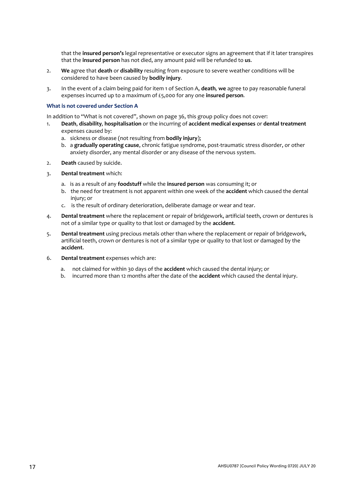that the **insured person's** legal representative or executor signs an agreement that if it later transpires that the **insured person** has not died, any amount paid will be refunded to **us**.

- 2. **We** agree that **death** or **disability** resulting from exposure to severe weather conditions will be considered to have been caused by **bodily injury***.*
- 3. In the event of a claim being paid for item 1 of Section A, **death***,* **we** agree to pay reasonable funeral expenses incurred up to a maximum of £5,000 for any one **insured person***.*

#### **What is not covered under Section A**

In addition to "What is not covered", shown on page 36, this group policy does not cover:

- 1. **Death**, **disability***,* **hospitalisation** or the incurring of **accident medical expenses** or **dental treatment** expenses caused by:
	- a. sickness or disease (not resulting from **bodily injury**);
	- b. a **gradually operating cause**, chronic fatigue syndrome, post-traumatic stress disorder, or other anxiety disorder, any mental disorder or any disease of the nervous system.
- 2. **Death** caused by suicide.
- 3. **Dental treatment** which:
	- a. is as a result of any **foodstuff** while the **insured person** was consuming it; or
	- b. the need for treatment is not apparent within one week of the **accident** which caused the dental injury; or
	- c. is the result of ordinary deterioration, deliberate damage or wear and tear.
- 4. **Dental treatment** where the replacement or repair of bridgework, artificial teeth, crown or dentures is not of a similar type or quality to that lost or damaged by the **accident**.
- 5. **Dental treatment** using precious metals other than where the replacement or repair of bridgework, artificial teeth, crown or dentures is not of a similar type or quality to that lost or damaged by the **accident**.
- 6. **Dental treatment** expenses which are:
	- a. not claimed for within 30 days of the **accident** which caused the dental injury; or
	- b. incurred more than 12 months after the date of the **accident** which caused the dental injury.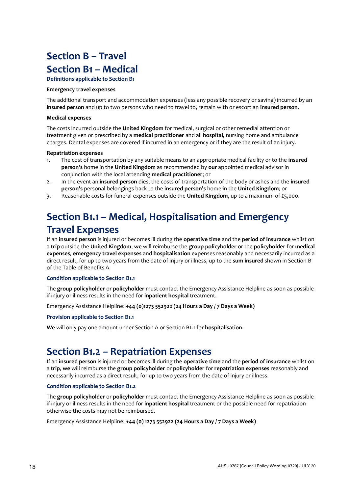# <span id="page-17-1"></span><span id="page-17-0"></span>**Section B – Travel Section B1 – Medical**

**Definitions applicable to Section B1**

#### **Emergency travel expenses**

The additional transport and accommodation expenses (less any possible recovery or saving) incurred by an **insured person** and up to two persons who need to travel to, remain with or escort an **insured person**.

#### **Medical expenses**

The costs incurred outside the **United Kingdom** for medical, surgical or other remedial attention or treatment given or prescribed by a **medical practitioner** and all **hospital**, nursing home and ambulance charges. Dental expenses are covered if incurred in an emergency or if they are the result of an injury.

#### **Repatriation expenses**

- 1. The cost of transportation by any suitable means to an appropriate medical facility or to the **insured person's** home in the **United Kingdom** as recommended by **our** appointed medical advisor in conjunction with the local attending **medical practitioner**; or
- 2. In the event an **insured person** dies, the costs of transportation of the body or ashes and the **insured person's** personal belongings back to the **insured person's** home in the **United Kingdom**; or
- 3. Reasonable costs for funeral expenses outside the **United Kingdom**, up to a maximum of £5,000.

# <span id="page-17-2"></span>**Section B1.1 – Medical, Hospitalisation and Emergency Travel Expenses**

If an **insured person** is injured or becomes ill during the **operative time** and the **period of insurance** whilst on a **trip** outside the **United Kingdom**, **we** will reimburse the **group policyholder** or the **policyholder** for **medical expenses***,* **emergency travel expenses** and **hospitalisation** expenses reasonably and necessarily incurred as a direct result, for up to two years from the date of injury or illness, up to the **sum insured** shown in Section B of the Table of Benefits A.

#### **Condition applicable to Section B1.1**

The **group policyholder** or **policyholder** must contact the Emergency Assistance Helpline as soon as possible if injury or illness results in the need for **inpatient hospital** treatment.

Emergency Assistance Helpline: **+44 (0)1273 552922 (24 Hours a Day / 7 Days a Week)**

#### **Provision applicable to Section B1.1**

**We** will only pay one amount under Section A or Section B1.1 for **hospitalisation**.

### <span id="page-17-3"></span>**Section B1.2 – Repatriation Expenses**

If an **insured person** is injured or becomes ill during the **operative time** and the **period of insurance** whilst on a **trip**, **we** will reimburse the **group policyholder** or **policyholder** for **repatriation expenses** reasonably and necessarily incurred as a direct result, for up to two years from the date of injury or illness.

#### **Condition applicable to Section B1.2**

The **group policyholder** or **policyholder** must contact the Emergency Assistance Helpline as soon as possible if injury or illness results in the need for **inpatient hospital** treatment or the possible need for repatriation otherwise the costs may not be reimbursed.

Emergency Assistance Helpline: **+44 (0) 1273 552922 (24 Hours a Day / 7 Days a Week)**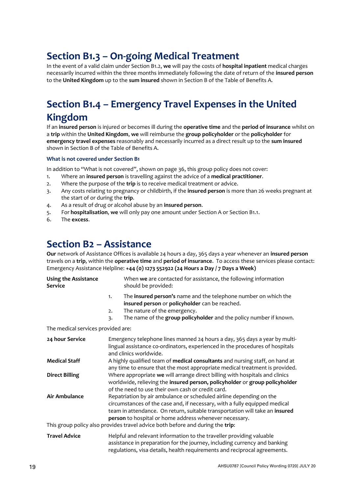# <span id="page-18-0"></span>**Section B1.3 – On-going Medical Treatment**

In the event of a valid claim under Section B1.2, **we** will pay the costs of **hospital inpatient** medical charges necessarily incurred within the three months immediately following the date of return of the **insured person**  to the **United Kingdom** up to the **sum insured** shown in Section B of the Table of Benefits A.

# <span id="page-18-1"></span>**Section B1.4 – Emergency Travel Expenses in the United Kingdom**

If an **insured person** is injured or becomes ill during the **operative time** and the **period of insurance** whilst on a **trip** within the **United Kingdom**, **we** will reimburse the **group policyholder** or the **policyholder** for **emergency travel expenses** reasonably and necessarily incurred as a direct result up to the **sum insured** shown in Section B of the Table of Benefits A.

#### **What is not covered under Section B1**

In addition to "What is not covered", shown on page 36, this group policy does not cover:

- 1. Where an **insured person** is travelling against the advice of a **medical practitioner**.
- 2. Where the purpose of the **trip** is to receive medical treatment or advice.
- 3. Any costs relating to pregnancy or childbirth, if the **insured person** is more than 26 weeks pregnant at the start of or during the **trip**.
- 4. As a result of drug or alcohol abuse by an **insured person**.
- 5. For **hospitalisation**, **we** will only pay one amount under Section A or Section B1.1.
- 6. The **excess**.

### <span id="page-18-2"></span>**Section B2 – Assistance**

**Our** network of Assistance Offices is available 24 hours a day, 365 days a year whenever an **insured person** travels on a **trip**, within the **operative time** and **period of insurance**. To access these services please contact: Emergency Assistance Helpline: **+44 (0) 1273 552922 (24 Hours a Day / 7 Days a Week)**

| <b>Using the Assistance</b><br>Service |    | When we are contacted for assistance, the following information<br>should be provided:                                                 |
|----------------------------------------|----|----------------------------------------------------------------------------------------------------------------------------------------|
|                                        |    | The <b>insured person's</b> name and the telephone number on which the<br><b>insured person</b> or <b>policyholder</b> can be reached. |
|                                        | 2. | The nature of the emergency.                                                                                                           |
|                                        | з. | The name of the group policyholder and the policy number if known.                                                                     |

#### The medical services provided are:

| 24 hour Service       | Emergency telephone lines manned 24 hours a day, 365 days a year by multi-<br>lingual assistance co-ordinators, experienced in the procedures of hospitals<br>and clinics worldwide.                                                                                                                                                                                         |
|-----------------------|------------------------------------------------------------------------------------------------------------------------------------------------------------------------------------------------------------------------------------------------------------------------------------------------------------------------------------------------------------------------------|
| <b>Medical Staff</b>  | A highly qualified team of medical consultants and nursing staff, on hand at<br>any time to ensure that the most appropriate medical treatment is provided.                                                                                                                                                                                                                  |
| <b>Direct Billing</b> | Where appropriate we will arrange direct billing with hospitals and clinics<br>worldwide, relieving the insured person, policyholder or group policyholder<br>of the need to use their own cash or credit card.                                                                                                                                                              |
| Air Ambulance         | Repatriation by air ambulance or scheduled airline depending on the<br>circumstances of the case and, if necessary, with a fully equipped medical<br>team in attendance. On return, suitable transportation will take an insured<br>person to hospital or home address whenever necessary.<br>This group policy also provides travel advice both before and during the trip: |
| <b>Travel Advice</b>  | Helpful and relevant information to the traveller providing valuable<br>assistance in preparation for the journey, including currency and banking                                                                                                                                                                                                                            |

regulations, visa details, health requirements and reciprocal agreements.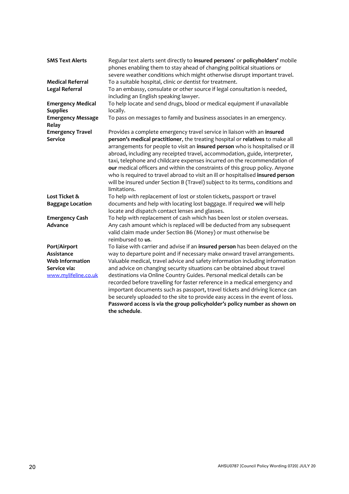| <b>SMS Text Alerts</b>                    | Regular text alerts sent directly to insured persons' or policyholders' mobile<br>phones enabling them to stay ahead of changing political situations or<br>severe weather conditions which might otherwise disrupt important travel.                                                                                                                                                                                                                                                                                                                                                                                                                                   |
|-------------------------------------------|-------------------------------------------------------------------------------------------------------------------------------------------------------------------------------------------------------------------------------------------------------------------------------------------------------------------------------------------------------------------------------------------------------------------------------------------------------------------------------------------------------------------------------------------------------------------------------------------------------------------------------------------------------------------------|
| <b>Medical Referral</b>                   | To a suitable hospital, clinic or dentist for treatment.                                                                                                                                                                                                                                                                                                                                                                                                                                                                                                                                                                                                                |
| <b>Legal Referral</b>                     | To an embassy, consulate or other source if legal consultation is needed,<br>including an English speaking lawyer.                                                                                                                                                                                                                                                                                                                                                                                                                                                                                                                                                      |
| <b>Emergency Medical</b>                  | To help locate and send drugs, blood or medical equipment if unavailable                                                                                                                                                                                                                                                                                                                                                                                                                                                                                                                                                                                                |
| <b>Supplies</b>                           | locally.                                                                                                                                                                                                                                                                                                                                                                                                                                                                                                                                                                                                                                                                |
| <b>Emergency Message</b><br>Relay         | To pass on messages to family and business associates in an emergency.                                                                                                                                                                                                                                                                                                                                                                                                                                                                                                                                                                                                  |
| <b>Emergency Travel</b><br><b>Service</b> | Provides a complete emergency travel service in liaison with an insured<br>person's medical practitioner, the treating hospital or relatives to make all<br>arrangements for people to visit an insured person who is hospitalised or ill<br>abroad, including any receipted travel, accommodation, guide, interpreter,<br>taxi, telephone and childcare expenses incurred on the recommendation of<br>our medical officers and within the constraints of this group policy. Anyone<br>who is required to travel abroad to visit an ill or hospitalised insured person<br>will be insured under Section B (Travel) subject to its terms, conditions and<br>limitations. |
| Lost Ticket &                             | To help with replacement of lost or stolen tickets, passport or travel                                                                                                                                                                                                                                                                                                                                                                                                                                                                                                                                                                                                  |
| <b>Baggage Location</b>                   | documents and help with locating lost baggage. If required we will help<br>locate and dispatch contact lenses and glasses.                                                                                                                                                                                                                                                                                                                                                                                                                                                                                                                                              |
| <b>Emergency Cash</b><br>Advance          | To help with replacement of cash which has been lost or stolen overseas.<br>Any cash amount which is replaced will be deducted from any subsequent<br>valid claim made under Section B6 (Money) or must otherwise be<br>reimbursed to us.                                                                                                                                                                                                                                                                                                                                                                                                                               |
| Port/Airport                              | To liaise with carrier and advise if an insured person has been delayed on the                                                                                                                                                                                                                                                                                                                                                                                                                                                                                                                                                                                          |
| Assistance                                | way to departure point and if necessary make onward travel arrangements.                                                                                                                                                                                                                                                                                                                                                                                                                                                                                                                                                                                                |
| <b>Web Information</b>                    | Valuable medical, travel advice and safety information including information                                                                                                                                                                                                                                                                                                                                                                                                                                                                                                                                                                                            |
| Service via:                              | and advice on changing security situations can be obtained about travel                                                                                                                                                                                                                                                                                                                                                                                                                                                                                                                                                                                                 |
| www.mylifeline.co.uk                      | destinations via Online Country Guides. Personal medical details can be<br>recorded before travelling for faster reference in a medical emergency and<br>important documents such as passport, travel tickets and driving licence can<br>be securely uploaded to the site to provide easy access in the event of loss.<br>Password access is via the group policyholder's policy number as shown on                                                                                                                                                                                                                                                                     |
|                                           | the schedule.                                                                                                                                                                                                                                                                                                                                                                                                                                                                                                                                                                                                                                                           |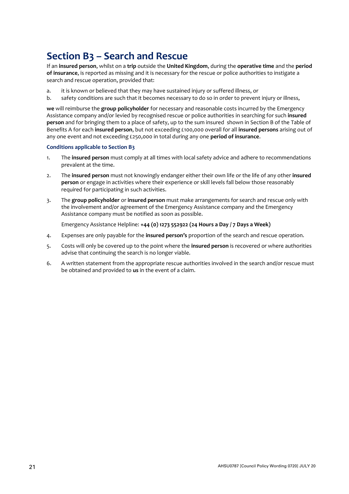# <span id="page-20-0"></span>**Section B3 – Search and Rescue**

If an **insured person**, whilst on a **trip** outside the **United Kingdom**, during the **operative time** and the **period of insurance**, is reported as missing and it is necessary for the rescue or police authorities to instigate a search and rescue operation, provided that:

- a. it is known or believed that they may have sustained injury or suffered illness, or
- b. safety conditions are such that it becomes necessary to do so in order to prevent injury or illness,

**we** will reimburse the **group policyholder** for necessary and reasonable costs incurred by the Emergency Assistance company and/or levied by recognised rescue or police authorities in searching for such **insured person** and for bringing them to a place of safety, up to the sum insured shown in Section B of the Table of Benefits A for each **insured person**, but not exceeding £100,000 overall for all **insured persons** arising out of any one event and not exceeding £250,000 in total during any one **period of insurance**.

#### **Conditions applicable to Section B3**

- 1. The **insured person** must comply at all times with local safety advice and adhere to recommendations prevalent at the time.
- 2. The **insured person** must not knowingly endanger either their own life or the life of any other **insured person** or engage in activities where their experience or skill levels fall below those reasonably required for participating in such activities.
- 3. The **group policyholder** or **insured person** must make arrangements for search and rescue only with the involvement and/or agreement of the Emergency Assistance company and the Emergency Assistance company must be notified as soon as possible.

Emergency Assistance Helpline: **+44 (0) 1273 552922 (24 Hours a Day / 7 Days a Week)**

- 4. Expenses are only payable for the **insured person's** proportion of the search and rescue operation.
- 5. Costs will only be covered up to the point where the **insured person** is recovered or where authorities advise that continuing the search is no longer viable.
- 6. A written statement from the appropriate rescue authorities involved in the search and/or rescue must be obtained and provided to **us** in the event of a claim.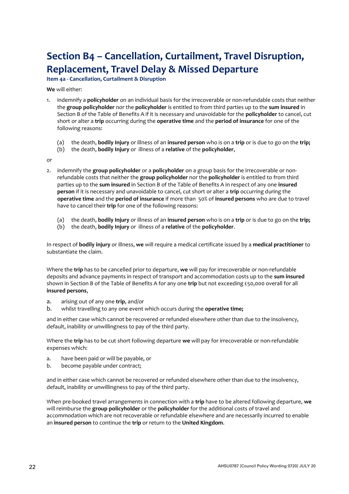# <span id="page-21-0"></span>**Section B4 – Cancellation, Curtailment, Travel Disruption, Replacement, Travel Delay & Missed Departure**

**Item 4a - Cancellation, Curtailment & Disruption**

**We** will either:

- 1. indemnify a **policyholder** on an individual basis for the irrecoverable or non-refundable costs that neither the **group policyholder** nor the **policyholder** is entitled to from third parties up to the **sum insured** in Section B of the Table of Benefits A if it is necessary and unavoidable for the **policyholder** to cancel, cut short or alter a **trip** occurring during the **operative time** and the **period of insurance** for one of the following reasons:
	- (a) the death, **bodily Injury** or illness of an **insured person** who is on a **trip** or is due to go on the **trip;**
	- (b) the death, **bodily Injury** or illness of a **relative** of the **policyholder**,

or

- 2. indemnify the **group policyholder** or a **policyholder** on a group basis for the irrecoverable or nonrefundable costs that neither the **group policyholder** nor the **policyholder** is entitled to from third parties up to the **sum insured** in Section B of the Table of Benefits A in respect of any one **insured person** if it is necessary and unavoidable to cancel, cut short or alter a **trip** occurring during the **operative time** and the **period of insurance** if more than 50% of **insured persons** who are due to travel have to cancel their **trip** for one of the following reasons:
	- (a) the death, **bodily Injury** or illness of an **insured person** who is on a **trip** or is due to go on the **trip;**
	- (b) the death, **bodily Injury** or illness of a **relative** of the **policyholder**.

In respect of **bodily injury** or illness, **we** will require a medical certificate issued by a **medical practitioner** to substantiate the claim.

Where the **trip** has to be cancelled prior to departure, **we** will pay for irrecoverable or non-refundable deposits and advance payments in respect of transport and accommodation costs up to the **sum insured** shown in Section B of the Table of Benefits A for any one **trip** but not exceeding £50,000 overall for all **insured persons**,

- a. arising out of any one **trip**, and/or
- b. whilst travelling to any one event which occurs during the **operative time;**

and in either case which cannot be recovered or refunded elsewhere other than due to the insolvency, default, inability or unwillingness to pay of the third party.

Where the **trip** has to be cut short following departure **we** will pay for irrecoverable or non-refundable expenses which:

- a. have been paid or will be payable, or
- b. become payable under contract;

and in either case which cannot be recovered or refunded elsewhere other than due to the insolvency, default, inability or unwillingness to pay of the third party.

When pre-booked travel arrangements in connection with a **trip** have to be altered following departure, **we**  will reimburse the **group policyholder** or the **policyholder** for the additional costs of travel and accommodation which are not recoverable or refundable elsewhere and are necessarily incurred to enable an **insured person** to continue the **trip** or return to the **United Kingdom**.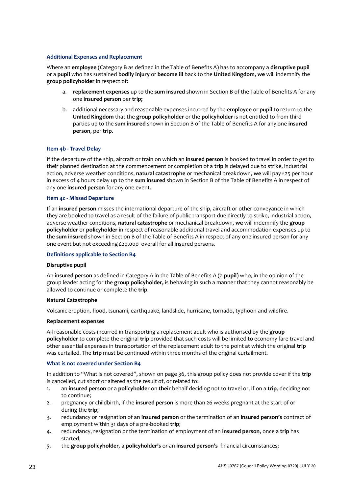#### **Additional Expenses and Replacement**

Where an **employee** (Category B as defined in the Table of Benefits A) has to accompany a **disruptive pupil**  or a **pupil** who has sustained **bodily injury** or **become ill** back to the **United Kingdom, we** will indemnify the **group policyholder** in respect of:

- a. **replacement expenses** up to the **sum insured** shown in Section B of the Table of Benefits A for any one **insured person** per **trip;**
- b. additional necessary and reasonable expenses incurred by the **employee** or **pupil** to return to the **United Kingdom** that the **group policyholder** or the **policyholder** is not entitled to from third parties up to the **sum insured** shown in Section B of the Table of Benefits A for any one **insured person**, per **trip.**

#### **Item 4b - Travel Delay**

If the departure of the ship, aircraft or train on which an **insured person** is booked to travel in order to get to their planned destination at the commencement or completion of a **trip** is delayed due to strike, industrial action, adverse weather conditions, **natural catastrophe** or mechanical breakdown, **we** will pay £25 per hour in excess of 4 hours delay up to the **sum insured** shown in Section B of the Table of Benefits A in respect of any one **insured person** for any one event.

#### **Item 4c - Missed Departure**

If an **insured person** misses the international departure of the ship, aircraft or other conveyance in which they are booked to travel as a result of the failure of public transport due directly to strike, industrial action, adverse weather conditions, **natural catastrophe** or mechanical breakdown, **we** will indemnify the **group policyholder** or **policyholder** in respect of reasonable additional travel and accommodation expenses up to the **sum insured** shown in Section B of the Table of Benefits A in respect of any one insured person for any one event but not exceeding £20,000 overall for all insured persons.

#### **Definitions applicable to Section B4**

#### **Disruptive pupil**

An **insured person** as defined in Category A in the Table of Benefits A (a **pupil**) who, in the opinion of the group leader acting for the **group policyholder,** is behaving in such a manner that they cannot reasonably be allowed to continue or complete the **trip**.

#### **Natural Catastrophe**

Volcanic eruption, flood, tsunami, earthquake, landslide, hurricane, tornado, typhoon and wildfire.

#### **Replacement expenses**

All reasonable costs incurred in transporting a replacement adult who is authorised by the **group policyholder** to complete the original **trip** provided that such costs will be limited to economy fare travel and other essential expenses in transportation of the replacement adult to the point at which the original **trip** was curtailed. The **trip** must be continued within three months of the original curtailment.

#### **What is not covered under Section B4**

In addition to "What is not covered", shown on page 36, this group policy does not provide cover if the **trip** is cancelled, cut short or altered as the result of, or related to:

- 1. an **insured person** or a **policyholder** on **their** behalf deciding not to travel or, if on a **trip***,* deciding not to continue;
- 2. pregnancy or childbirth, if the **insured person** is more than 26 weeks pregnant at the start of or during the **trip**;
- 3. redundancy or resignation of an **insured person** or the termination of an **insured person's** contract of employment within 31 days of a pre-booked **trip**;
- 4. redundancy, resignation or the termination of employment of an **insured person**, once a **trip** has started;
- 5. the **group policyholder***,* a **policyholder's** or an **insured person's** financial circumstances;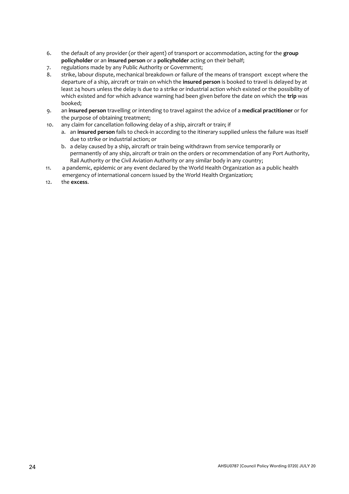- 6. the default of any provider (or their agent) of transport or accommodation, acting for the **group policyholder** or an **insured person** or a **policyholder** acting on their behalf;
- 7. regulations made by any Public Authority or Government;<br>8. strike. labour dispute. mechanical breakdown or failure of
- strike, labour dispute, mechanical breakdown or failure of the means of transport except where the departure of a ship, aircraft or train on which the **insured person** is booked to travel is delayed by at least 24 hours unless the delay is due to a strike or industrial action which existed or the possibility of which existed and for which advance warning had been given before the date on which the **trip** was booked;
- 9. an **insured person** travelling or intending to travel against the advice of a **medical practitioner** or for the purpose of obtaining treatment;
- 10. any claim for cancellation following delay of a ship, aircraft or train; if
	- a. an **insured person** fails to check-in according to the itinerary supplied unless the failure was itself due to strike or industrial action; or
	- b. a delay caused by a ship, aircraft or train being withdrawn from service temporarily or permanently of any ship, aircraft or train on the orders or recommendation of any Port Authority, Rail Authority or the Civil Aviation Authority or any similar body in any country;
- 11. a pandemic, epidemic or any event declared by the World Health Organization as a public health emergency of international concern issued by the World Health Organization;
- 12. the **excess**.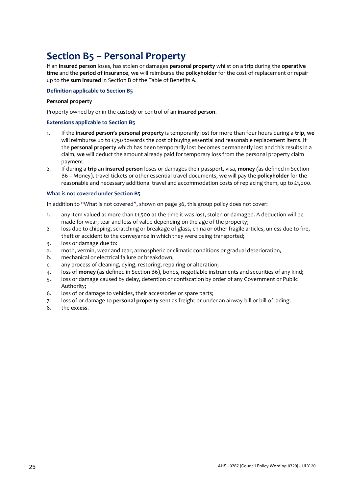# <span id="page-24-0"></span>**Section B5 – Personal Property**

If an **insured person** loses, has stolen or damages **personal property** whilst on a **trip** during the **operative time** and the **period of insurance**, **we** will reimburse the **policyholder** for the cost of replacement or repair up to the **sum insured** in Section B of the Table of Benefits A.

#### **Definition applicable to Section B5**

#### **Personal property**

Property owned by or in the custody or control of an **insured person**.

#### **Extensions applicable to Section B5**

- 1. If the **insured person's personal property** is temporarily lost for more than four hours during a **trip**, **we** will reimburse up to £750 towards the cost of buying essential and reasonable replacement items. If the **personal property** which has been temporarily lost becomes permanently lost and this results in a claim, **we** will deduct the amount already paid for temporary loss from the personal property claim payment.
- 2. If during a **trip** an **insured person** loses or damages their passport, visa, **money** *(*as defined in Section B6 – Money), travel tickets or other essential travel documents, **we** will pay the **policyholder** for the reasonable and necessary additional travel and accommodation costs of replacing them, up to £1,000.

#### **What is not covered under Section B5**

In addition to "What is not covered", shown on page 36, this group policy does not cover:

- 1. any item valued at more than £1,500 at the time it was lost, stolen or damaged. A deduction will be made for wear, tear and loss of value depending on the age of the property;
- 2. loss due to chipping, scratching or breakage of glass, china or other fragile articles, unless due to fire, theft or accident to the conveyance in which they were being transported;
- 3. loss or damage due to:
- a. moth, vermin, wear and tear, atmospheric or climatic conditions or gradual deterioration,
- b. mechanical or electrical failure or breakdown,
- c. any process of cleaning, dying, restoring, repairing or alteration;
- 4. loss of **money** (as defined in Section B6), bonds, negotiable instruments and securities of any kind;
- 5. loss or damage caused by delay, detention or confiscation by order of any Government or Public Authority;
- 6. loss of or damage to vehicles, their accessories or spare parts;
- 7. loss of or damage to **personal property** sent as freight or under an airway-bill or bill of lading.
- 8. the **excess**.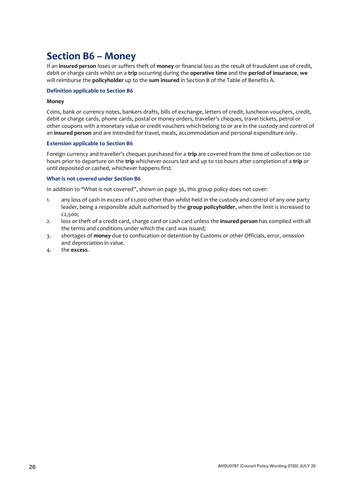### <span id="page-25-0"></span>**Section B6 – Money**

If an **insured person** loses or suffers theft of **money** or financial loss as the result of fraudulent use of credit, debit or charge cards whilst on a **trip** occurring during the **operative time** and the **period of insurance**, **we**  will reimburse the **policyholder** up to the **sum insured** in Section B of the Table of Benefits A.

#### **Definition applicable to Section B6**

#### **Money**

Coins, bank or currency notes, bankers drafts, bills of exchange, letters of credit, luncheon vouchers, credit, debit or charge cards, phone cards, postal or money orders, traveller's cheques, travel tickets, petrol or other coupons with a monetary value or credit vouchers which belong to or are in the custody and control of an **insured person** and are intended for travel, meals, accommodation and personal expenditure only.

#### **Extension applicable to Section B6**

Foreign currency and traveller's cheques purchased for a **trip** are covered from the time of collection or 120 hours prior to departure on the **trip** whichever occurs last and up to 120 hours after completion of a **trip** or until deposited or cashed, whichever happens first.

#### **What is not covered under Section B6**

In addition to "What is not covered", shown on page 36, this group policy does not cover:

- 1. any loss of cash in excess of £1,000 other than whilst held in the custody and control of any one party leader, being a responsible adult authorised by the **group policyholder**, when the limit is increased to £2,500;
- 2. loss or theft of a credit card, charge card or cash card unless the **insured person** has complied with all the terms and conditions under which the card was issued;
- 3. shortages of **money** due to confiscation or detention by Customs or other Officials, error, omission and depreciation in value.
- 4. the **excess**.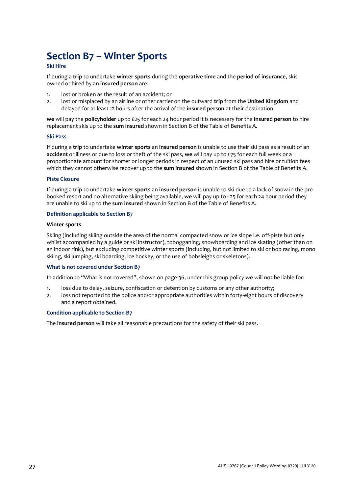# <span id="page-26-0"></span>**Section B7 – Winter Sports**

#### **Ski Hire**

If during a **trip** to undertake **winter sports** during the **operative time** and the **period of insurance**, skis owned or hired by an **insured person** are:

- 1. lost or broken as the result of an accident; or
- 2. lost or misplaced by an airline or other carrier on the outward **trip** from the **United Kingdom** and delayed for at least 12 hours after the arrival of the **insured person** at **their** destination

**we** will pay the **policyholder** up to £25 for each 24 hour period it is necessary for the **insured person** to hire replacement skis up to the **sum insured** shown in Section B of the Table of Benefits A.

#### **Ski Pass**

If during a **trip** to undertake **winter sports** an **insured person** is unable to use their ski pass as a result of an **accident** or illness or due to loss or theft of the ski pass, **we** will pay up to £75 for each full week or a proportionate amount for shorter or longer periods in respect of an unused ski pass and hire or tuition fees which they cannot otherwise recover up to the **sum insured** shown in Section B of the Table of Benefits A.

#### **Piste Closure**

If during a **trip** to undertake **winter sports** an **insured person** is unable to ski due to a lack of snow in the prebooked resort and no alternative skiing being available, **we** will pay up to £25 for each 24 hour period they are unable to ski up to the **sum insured** shown in Section B of the Table of Benefits A.

#### **Definition applicable to Section B7**

#### **Winter sports**

Skiing (including skiing outside the area of the normal compacted snow or ice slope i.e. off-piste but only whilst accompanied by a guide or ski instructor), tobogganing, snowboarding and ice skating (other than on an indoor rink), but excluding competitive winter sports (including, but not limited to ski or bob racing, mono skiing, ski jumping, ski boarding, ice hockey, or the use of bobsleighs or skeletons).

#### **What is not covered under Section B7**

In addition to "What is not covered", shown on page 36, under this group policy **we** will not be liable for:

- 1. loss due to delay, seizure, confiscation or detention by customs or any other authority;
- 2. loss not reported to the police and/or appropriate authorities within forty-eight hours of discovery and a report obtained.

#### **Condition applicable to Section B7**

The **insured person** will take all reasonable precautions for the safety of their ski pass.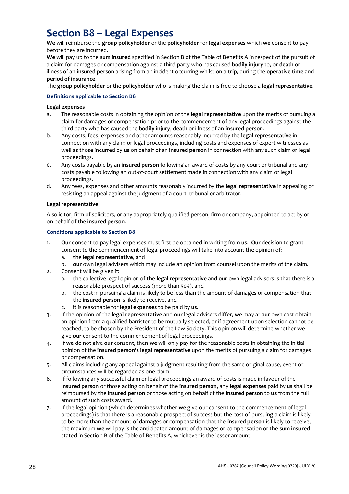# <span id="page-27-0"></span>**Section B8 – Legal Expenses**

**We** will reimburse the **group policyholder** or the **policyholder** for **legal expenses** which **we** consent to pay before they are incurred.

**We** will pay up to the **sum insured** specified in Section B of the Table of Benefits A in respect of the pursuit of a claim for damages or compensation against a third party who has caused **bodily injury** to, or **death** or illness of an **insured person** arising from an incident occurring whilst on a **trip**, during the **operative time** and **period of insurance**.

The **group policyholder** or the **policyholder** who is making the claim is free to choose a **legal representative**.

#### **Definitions applicable to Section B8**

#### **Legal expenses**

- a. The reasonable costs in obtaining the opinion of the **legal representative** upon the merits of pursuing a claim for damages or compensation prior to the commencement of any legal proceedings against the third party who has caused the **bodily injury**, **death** or illness of an **insured person**.
- b. Any costs, fees, expenses and other amounts reasonably incurred by the **legal representative** in connection with any claim or legal proceedings, including costs and expenses of expert witnesses as well as those incurred by **us** on behalf of an **insured person** in connection with any such claim or legal proceedings.
- c. Any costs payable by an **insured person** following an award of costs by any court or tribunal and any costs payable following an out-of-court settlement made in connection with any claim or legal proceedings.
- d. Any fees, expenses and other amounts reasonably incurred by the **legal representative** in appealing or resisting an appeal against the judgment of a court, tribunal or arbitrator.

#### **Legal representative**

A solicitor, firm of solicitors, or any appropriately qualified person, firm or company, appointed to act by or on behalf of the **insured person**.

#### **Conditions applicable to Section B8**

- 1. **Our** consent to pay legal expenses must first be obtained in writing from **us**. **Our** decision to grant consent to the commencement of legal proceedings will take into account the opinion of:
	- a. the **legal representative**, and
	- b. **our** own legal advisers which may include an opinion from counsel upon the merits of the claim.
- 2. Consent will be given if:
	- a. the collective legal opinion of the **legal representative** and **our** own legal advisors is that there is a reasonable prospect of success (more than 50%), and
	- b. the cost in pursuing a claim is likely to be less than the amount of damages or compensation that the **insured person** is likely to receive, and
	- c. it is reasonable for **legal expenses** to be paid by **us**.
- 3. If the opinion of the **legal representative** and **our** legal advisers differ, **we** may at **our** own cost obtain an opinion from a qualified barrister to be mutually selected, or if agreement upon selection cannot be reached, to be chosen by the President of the Law Society. This opinion will determine whether **we** give **our** consent to the commencement of legal proceedings.
- 4. If **we** do not give **our** consent, then **we** will only pay for the reasonable costs in obtaining the initial opinion of the **insured person's legal representative** upon the merits of pursuing a claim for damages or compensation.
- 5. All claims including any appeal against a judgment resulting from the same original cause, event or circumstances will be regarded as one claim.
- 6. If following any successful claim or legal proceedings an award of costs is made in favour of the **insured person** or those acting on behalf of the **insured person**, any **legal expenses** paid by **us** shall be reimbursed by the **insured person** or those acting on behalf of the **insured person** to **us** from the full amount of such costs award.
- 7. If the legal opinion (which determines whether **we** give our consent to the commencement of legal proceedings) is that there is a reasonable prospect of success but the cost of pursuing a claim is likely to be more than the amount of damages or compensation that the **insured person** is likely to receive, the maximum **we** will pay is the anticipated amount of damages or compensation or the **sum insured** stated in Section B of the Table of Benefits A, whichever is the lesser amount.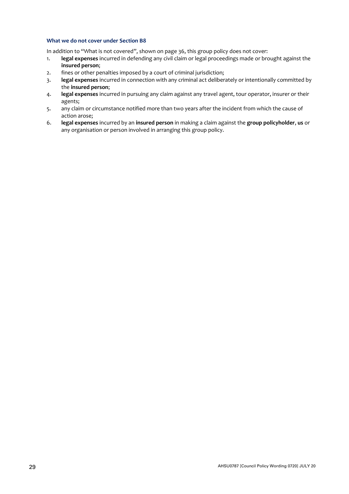#### **What we do not cover under Section B8**

In addition to "What is not covered", shown on page 36, this group policy does not cover:

- 1. **legal expenses** incurred in defending any civil claim or legal proceedings made or brought against the **insured person**;
- 2. fines or other penalties imposed by a court of criminal jurisdiction;
- 3. **legal expenses** incurred in connection with any criminal act deliberately or intentionally committed by the **insured person**;
- 4. **legal expenses** incurred in pursuing any claim against any travel agent, tour operator, insurer or their agents;
- 5. any claim or circumstance notified more than two years after the incident from which the cause of action arose;
- 6. **legal expenses** incurred by an **insured person** in making a claim against the **group policyholder**, **us** or any organisation or person involved in arranging this group policy.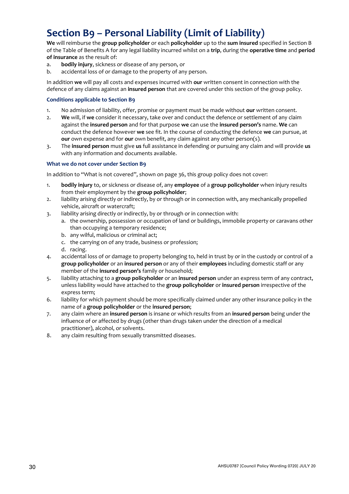# <span id="page-29-0"></span>**Section B9 – Personal Liability (Limit of Liability)**

**We** will reimburse the **group policyholder** or each **policyholder** up to the **sum insured** specified in Section B of the Table of Benefits A for any legal liability incurred whilst on a **trip**, during the **operative time** and **period of insurance** as the result of:

- a. **bodily injury**, sickness or disease of any person, or
- b. accidental loss of or damage to the property of any person.

In addition **we** will pay all costs and expenses incurred with **our** written consent in connection with the defence of any claims against an **insured person** that are covered under this section of the group policy.

#### **Conditions applicable to Section B9**

- 1. No admission of liability, offer, promise or payment must be made without **our** written consent.
- 2. **We** will, if **we** consider it necessary, take over and conduct the defence or settlement of any claim against the **insured person** and for that purpose **we** can use the **insured person's** name. **We** can conduct the defence however **we** see fit. In the course of conducting the defence **we** can pursue, at **our** own expense and for **our** own benefit, any claim against any other person(s).
- 3. The **insured person** must give **us** full assistance in defending or pursuing any claim and will provide **us** with any information and documents available.

#### **What we do not cover under Section B9**

In addition to "What is not covered", shown on page 36, this group policy does not cover:

- 1. **bodily injury** to, or sickness or disease of, any **employee** of a **group policyholder** when injury results from their employment by the **group policyholder**;
- 2. liability arising directly or indirectly, by or through or in connection with, any mechanically propelled vehicle, aircraft or watercraft;
- 3. liability arising directly or indirectly, by or through or in connection with:
	- a. the ownership, possession or occupation of land or buildings, immobile property or caravans other than occupying a temporary residence;
		- b. any wilful, malicious or criminal act;
		- c. the carrying on of any trade, business or profession;
		- d. racing.
- 4. accidental loss of or damage to property belonging to, held in trust by or in the custody or control of a **group policyholder** or an **insured person** or any of their **employees** including domestic staff or any member of the **insured person's** family or household;
- 5. liability attaching to a **group policyholder** or an **insured person** under an express term of any contract, unless liability would have attached to the **group policyholder** or **insured person** irrespective of the express term;
- 6. liability for which payment should be more specifically claimed under any other insurance policy in the name of a **group policyholder** or the **insured person**;
- 7. any claim where an **insured person** is insane or which results from an **insured person** being under the influence of or affected by drugs (other than drugs taken under the direction of a medical practitioner), alcohol, or solvents.
- 8. any claim resulting from sexually transmitted diseases.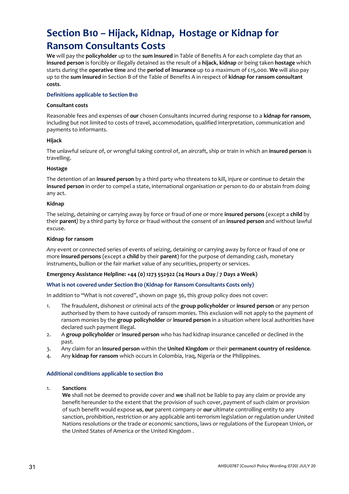# <span id="page-30-0"></span>**Section B10 – Hijack, Kidnap, Hostage or Kidnap for Ransom Consultants Costs**

**We** will pay the **policyholder** up to the **sum insured** in Table of Benefits A for each complete day that an **insured person** is forcibly or illegally detained as the result of a **hijack**, **kidnap** or being taken **hostage** which starts during the **operative time** and the **period of insurance** up to a maximum of £15,000. **We** will also pay up to the **sum insured** in Section B of the Table of Benefits A in respect of **kidnap for ransom consultant costs**.

#### **Definitions applicable to Section B10**

#### **Consultant costs**

Reasonable fees and expenses of **our** chosen Consultants incurred during response to a **kidnap for ransom**, including but not limited to costs of travel, accommodation, qualified interpretation, communication and payments to informants.

#### **Hijack**

The unlawful seizure of, or wrongful taking control of, an aircraft, ship or train in which an **insured person** is travelling.

#### **Hostage**

The detention of an **insured person** by a third party who threatens to kill, injure or continue to detain the **insured person** in order to compel a state, international organisation or person to do or abstain from doing any act.

#### **Kidnap**

The seizing, detaining or carrying away by force or fraud of one or more **insured persons** (except a **child** by their **parent***)* by a third party by force or fraud without the consent of an **insured person** and without lawful excuse.

#### **Kidnap for ransom**

Any event or connected series of events of seizing, detaining or carrying away by force or fraud of one or more **insured persons** (except a **child** by their **parent**) for the purpose of demanding cash, monetary instruments, bullion or the fair market value of any securities, property or services.

#### **Emergency Assistance Helpline: +44 (0) 1273 552922 (24 Hours a Day / 7 Days a Week)**

#### **What is not covered under Section B10 (Kidnap for Ransom Consultants Costs only)**

In addition to "What is not covered", shown on page 36, this group policy does not cover:

- 1. The fraudulent, dishonest or criminal acts of the **group policyholder** or **insured person** or any person authorised by them to have custody of ransom monies. This exclusion will not apply to the payment of ransom monies by the **group policyholder** or **insured person** in a situation where local authorities have declared such payment illegal.
- 2. A **group policyholder** or **insured person** who has had kidnap insurance cancelled or declined in the past.
- 3. Any claim for an **insured person** within the **United Kingdom** or their **permanent country of residence***.*
- 4. Any **kidnap for ransom** which occurs in Colombia, Iraq, Nigeria or the Philippines.

#### **Additional conditions applicable to section B10**

#### 1. **Sanctions**

**We** shall not be deemed to provide cover and **we** shall not be liable to pay any claim or provide any benefit hereunder to the extent that the provision of such cover, payment of such claim or provision of such benefit would expose **us**, **our** parent company or **our** ultimate controlling entity to any sanction, prohibition, restriction or any applicable anti-terrorism legislation or regulation under United Nations resolutions or the trade or economic sanctions, laws or regulations of the European Union, or the United States of America or the United Kingdom .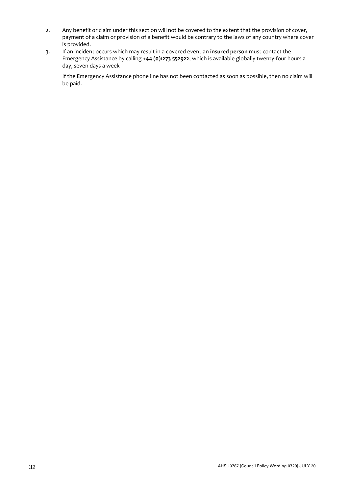- 2. Any benefit or claim under this section will not be covered to the extent that the provision of cover, payment of a claim or provision of a benefit would be contrary to the laws of any country where cover is provided.
- 3. If an incident occurs which may result in a covered event an **insured person** must contact the Emergency Assistance by calling **+44 (0)1273 552922**; which is available globally twenty-four hours a day, seven days a week

If the Emergency Assistance phone line has not been contacted as soon as possible, then no claim will be paid.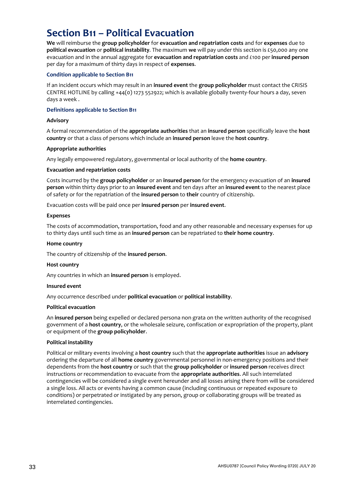## <span id="page-32-0"></span>**Section B11 – Political Evacuation**

**We** will reimburse the **group policyholder** for **evacuation and repatriation costs** and for **expenses** due to **political evacuation** or **political instability***.* The maximum **we** will pay under this section is £50,000 any one evacuation and in the annual aggregate for **evacuation and repatriation costs** and *£*100 per **insured person** per day for a maximum of thirty days in respect of **expenses**.

#### **Condition applicable to Section B11**

If an incident occurs which may result in an **insured event** the **group policyholder** must contact the CRISIS CENTRE HOTLINE by calling +44(0) 1273 552922; which is available globally twenty-four hours a day, seven days a week .

#### **Definitions applicable to Section B11**

#### **Advisory**

A formal recommendation of the **appropriate authorities** that an **insured person** specifically leave the **host country** or that a class of persons which include an **insured person** leave the **host country**.

#### **Appropriate authorities**

Any legally empowered regulatory, governmental or local authority of the **home country**.

#### **Evacuation and repatriation costs**

Costs incurred by the **group policyholder** or an **insured person** for the emergency evacuation of an **insured person** within thirty days prior to an **insured event** and ten days after an **insured event** to the nearest place of safety or for the repatriation of the **insured person** to **their** country of citizenship.

Evacuation costs will be paid once per **insured person** per **insured event**.

#### **Expenses**

The costs of accommodation, transportation, food and any other reasonable and necessary expenses for up to thirty days until such time as an **insured person** can be repatriated to **their home country**.

#### **Home country**

The country of citizenship of the **insured person**.

#### **Host country**

Any countries in which an **insured person** is employed.

#### **Insured event**

Any occurrence described under **political evacuation** or **political instability**.

#### **Political evacuation**

An **insured person** being expelled or declared persona non grata on the written authority of the recognised government of a **host country**, or the wholesale seizure, confiscation or expropriation of the property, plant or equipment of the **group policyholder**.

#### **Political instability**

Political or military events involving a **host country** such that the **appropriate authorities** issue an **advisory** ordering the departure of all **home country** governmental personnel in non-emergency positions and their dependents from the **host country** or such that the **group policyholder** or **insured person** receives direct instructions or recommendation to evacuate from the **appropriate authorities**. All such interrelated contingencies will be considered a single event hereunder and all losses arising there from will be considered a single loss. All acts or events having a common cause (including continuous or repeated exposure to conditions) or perpetrated or instigated by any person, group or collaborating groups will be treated as interrelated contingencies.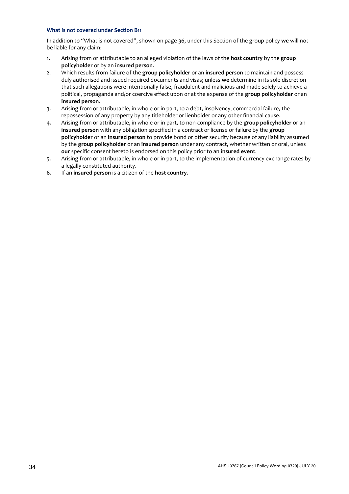#### **What is not covered under Section B11**

In addition to "What is not covered", shown on page 36, under this Section of the group policy **we** will not be liable for any claim:

- 1. Arising from or attributable to an alleged violation of the laws of the **host country** by the **group policyholder** or by an **insured person**.
- 2. Which results from failure of the **group policyholder** or an **insured person** to maintain and possess duly authorised and issued required documents and visas; unless **we** determine in its sole discretion that such allegations were intentionally false, fraudulent and malicious and made solely to achieve a political, propaganda and/or coercive effect upon or at the expense of the **group policyholder** or an **insured person**.
- 3. Arising from or attributable, in whole or in part, to a debt, insolvency, commercial failure, the repossession of any property by any titleholder or lienholder or any other financial cause.
- 4. Arising from or attributable, in whole or in part, to non-compliance by the **group policyholder** or an **insured person** with any obligation specified in a contract or license or failure by the **group policyholder** or an **insured person** to provide bond or other security because of any liability assumed by the **group policyholder** or an **insured person** under any contract, whether written or oral, unless **our** specific consent hereto is endorsed on this policy prior to an **insured event**.
- 5. Arising from or attributable, in whole or in part, to the implementation of currency exchange rates by a legally constituted authority.
- 6. If an **insured person** is a citizen of the **host country**.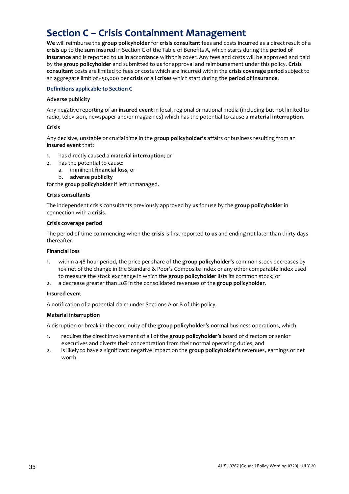# <span id="page-34-0"></span>**Section C – Crisis Containment Management**

**We** will reimburse the **group policyholder** for **crisis consultant** fees and costs incurred as a direct result of a **crisis** up to the **sum insured** in Section C of the Table of Benefits A, which starts during the **period of insurance** and is reported to **us** in accordance with this cover. Any fees and costs will be approved and paid by the **group policyholder** and submitted to **us** for approval and reimbursement under this policy. **Crisis consultant** costs are limited to fees or costs which are incurred within the **crisis coverage period** subject to an aggregate limit of £50,000 per **crisis** or all **crises** which start during the **period of insurance**.

#### **Definitions applicable to Section C**

#### **Adverse publicity**

Any negative reporting of an **insured event** in local, regional or national media (including but not limited to radio, television, newspaper and/or magazines) which has the potential to cause a **material interruption**.

#### **Crisis**

Any decisive, unstable or crucial time in the **group policyholder's** affairs or business resulting from an **insured event** that:

- 1. has directly caused a **material interruption**; or
- 2. has the potential to cause:
	- a. imminent **financial loss***,* or
	- b. **adverse publicity**

for the **group policyholder** if left unmanaged.

#### **Crisis consultants**

The independent crisis consultants previously approved by **us** for use by the **group policyholder** in connection with a **crisis**.

#### **Crisis coverage period**

The period of time commencing when the **crisis** is first reported to **us** and ending not later than thirty days thereafter.

#### **Financial loss**

- 1. within a 48 hour period, the price per share of the **group policyholder's** common stock decreases by 10% net of the change in the Standard & Poor's Composite Index or any other comparable index used to measure the stock exchange in which the **group policyholder** lists its common stock; or
- 2. a decrease greater than 20% in the consolidated revenues of the **group policyholder***.*

#### **Insured event**

A notification of a potential claim under Sections A or B of this policy.

#### **Material interruption**

A disruption or break in the continuity of the **group policyholder's** normal business operations, which:

- 1. requires the direct involvement of all of the **group policyholder's** board of directors or senior executives and diverts their concentration from their normal operating duties; and
- 2. is likely to have a significant negative impact on the **group policyholder's** revenues, earnings or net worth.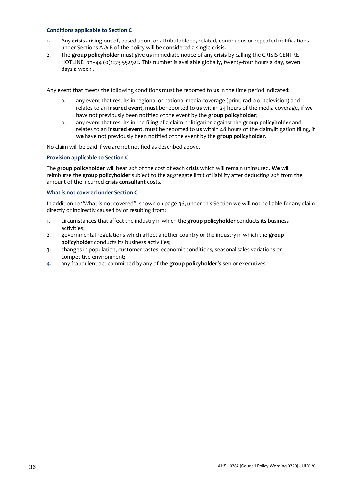#### **Conditions applicable to Section C**

- 1. Any **crisis** arising out of, based upon, or attributable to, related, continuous or repeated notifications under Sections A & B of the policy will be considered a single **crisis**.
- 2. The **group policyholder** must give **us** immediate notice of any **crisis** by calling the CRISIS CENTRE HOTLINE on+44 (0)1273 552922. This number is available globally, twenty-four hours a day, seven days a week .

Any event that meets the following conditions must be reported to **us** in the time period indicated:

- a. any event that results in regional or national media coverage (print, radio or television) and relates to an **insured event**, must be reported to **us** within 24 hours of the media coverage, if **we** have not previously been notified of the event by the **group policyholder**;
- b. any event that results in the filing of a claim or litigation against the **group policyholder** and relates to an **insured event**, must be reported to **us** within 48 hours of the claim/litigation filing, if **we** have not previously been notified of the event by the **group policyholder**.

No claim will be paid if **we** are not notified as described above.

#### **Provision applicable to Section C**

The **group policyholder** will bear 20% of the cost of each **crisis** which will remain uninsured. **We** will reimburse the **group policyholder** subject to the aggregate limit of liability after deducting 20% from the amount of the incurred **crisis consultant** costs*.*

#### **What is not covered under Section C**

In addition to "What is not covered", shown on page 36, under this Section **we** will not be liable for any claim directly or indirectly caused by or resulting from:

- 1. circumstances that affect the industry in which the **group policyholder** conducts its business activities;
- 2. governmental regulations which affect another country or the industry in which the **group policyholder** conducts its business activities;
- 3. changes in population, customer tastes, economic conditions, seasonal sales variations or competitive environment;
- 4. any fraudulent act committed by any of the **group policyholder's** senior executives.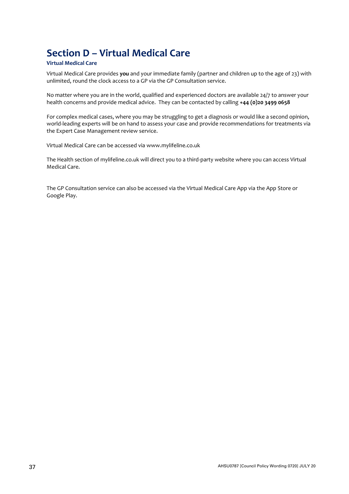# <span id="page-36-0"></span>**Section D – Virtual Medical Care**

#### **Virtual Medical Care**

Virtual Medical Care provides **you** and your immediate family (partner and children up to the age of 23) with unlimited, round the clock access to a GP via the GP Consultation service.

No matter where you are in the world, qualified and experienced doctors are available 24/7 to answer your health concerns and provide medical advice. They can be contacted by calling **+44 (0)20 3499 0658**

For complex medical cases, where you may be struggling to get a diagnosis or would like a second opinion, world-leading experts will be on hand to assess your case and provide recommendations for treatments via the Expert Case Management review service.

Virtual Medical Care can be accessed via www.mylifeline.co.uk

The Health section of mylifeline.co.uk will direct you to a third-party website where you can access Virtual Medical Care.

The GP Consultation service can also be accessed via the Virtual Medical Care App via the App Store or Google Play.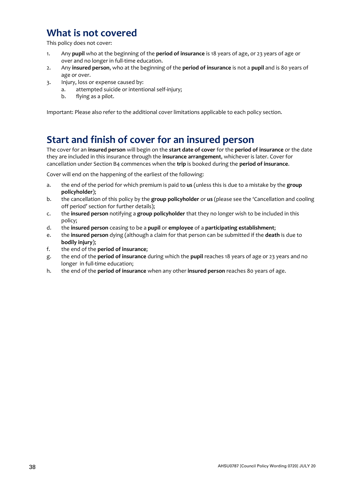# <span id="page-37-0"></span>**What is not covered**

This policy does not cover:

- 1. Any **pupil** who at the beginning of the **period of insurance** is 18 years of age, or 23 years of age or over and no longer in full-time education.
- 2. Any **insured person**, who at the beginning of the **period of insurance** is not a **pupil** and is 80 years of age or over.
- 3. Injury, loss or expense caused by:
	- a. attempted suicide or intentional self-injury;
		- b. flying as a pilot.

Important: Please also refer to the additional cover limitations applicable to each policy section.

### <span id="page-37-1"></span>**Start and finish of cover for an insured person**

The cover for an **insured person** will begin on the **start date of cover** for the **period of insurance** or the date they are included in this insurance through the **insurance arrangement**, whichever is later. Cover for cancellation under Section B4 commences when the **trip** is booked during the **period of insurance**.

Cover will end on the happening of the earliest of the following:

- a. the end of the period for which premium is paid to **us** (unless this is due to a mistake by the **group policyholder**);
- b. the cancellation of this policy by the **group policyholder** or **us** (please see the 'Cancellation and cooling off period' section for further details);
- c. the **insured person** notifying a **group policyholder** that they no longer wish to be included in this policy;
- d. the **insured person** ceasing to be a **pupil** or **employee** of a **participating establishment**;
- e. the **insured person** dying (although a claim for that person can be submitted if the **death** is due to **bodily injury**);
- f. the end of the **period of insurance**;
- g. the end of the **period of insurance** during which the **pupil** reaches 18 years of age or 23 years and no longer in full-time education;
- h. the end of the **period of insurance** when any other **insured person** reaches 80 years of age.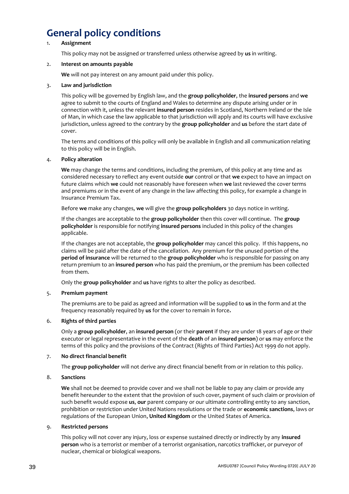# <span id="page-38-0"></span>**General policy conditions**

#### 1. **Assignment**

This policy may not be assigned or transferred unless otherwise agreed by **us** in writing.

#### 2. **Interest on amounts payable**

**We** will not pay interest on any amount paid under this policy.

#### 3. **Law and jurisdiction**

This policy will be governed by English law, and the **group policyholder**, the **insured persons** and **we** agree to submit to the courts of England and Wales to determine any dispute arising under or in connection with it, unless the relevant **insured person** resides in Scotland, Northern Ireland or the Isle of Man, in which case the law applicable to that jurisdiction will apply and its courts will have exclusive jurisdiction, unless agreed to the contrary by the **group policyholder** and **us** before the start date of cover.

The terms and conditions of this policy will only be available in English and all communication relating to this policy will be in English.

#### 4. **Policy alteration**

**We** may change the terms and conditions, including the premium, of this policy at any time and as considered necessary to reflect any event outside **our** control or that **we** expect to have an impact on future claims which **we** could not reasonably have foreseen when **we** last reviewed the cover terms and premiums or in the event of any change in the law affecting this policy, for example a change in Insurance Premium Tax.

Before **we** make any changes, **we** will give the **group policyholders** 30 days notice in writing.

If the changes are acceptable to the **group policyholder** then this cover will continue. The **group policyholder** is responsible for notifying **insured persons** included in this policy of the changes applicable.

If the changes are not acceptable, the **group policyholder** may cancel this policy. If this happens, no claims will be paid after the date of the cancellation. Any premium for the unused portion of the **period of insurance** will be returned to the **group policyholder** who is responsible for passing on any return premium to an **insured person** who has paid the premium, or the premium has been collected from them.

Only the **group policyholder** and **us** have rights to alter the policy as described.

#### 5. **Premium payment**

The premiums are to be paid as agreed and information will be supplied to **us** in the form and at the frequency reasonably required by **us** for the cover to remain in force**.**

#### 6. **Rights of third parties**

Only a **group policyholder**, an **insured person** (or their **parent** if they are under 18 years of age or their executor or legal representative in the event of the **death** of an **insured person**) or **us** may enforce the terms of this policy and the provisions of the Contract (Rights of Third Parties) Act 1999 do not apply.

#### 7. **No direct financial benefit**

The **group policyholder** will not derive any direct financial benefit from or in relation to this policy.

#### 8. **Sanctions**

**We** shall not be deemed to provide cover and we shall not be liable to pay any claim or provide any benefit hereunder to the extent that the provision of such cover, payment of such claim or provision of such benefit would expose **us**, **our** parent company or our ultimate controlling entity to any sanction, prohibition or restriction under United Nations resolutions or the trade or **economic sanctions**, laws or regulations of the European Union, **United Kingdom** or the United States of America.

#### 9. **Restricted persons**

This policy will not cover any injury, loss or expense sustained directly or indirectly by any **insured person** who is a terrorist or member of a terrorist organisation, narcotics trafficker, or purveyor of nuclear, chemical or biological weapons.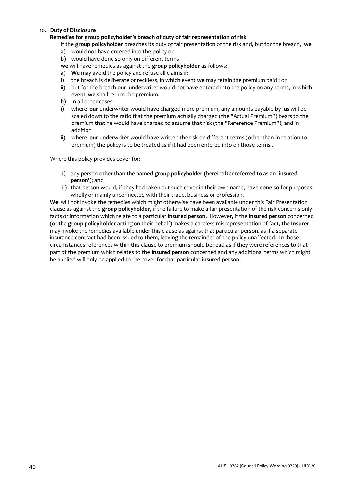#### 10. **Duty of Disclosure**

#### **Remedies for group policyholder's breach of duty of fair representation of risk**

If the **group policyholder** breaches its duty of fair presentation of the risk and, but for the breach, **we**

- a) would not have entered into the policy or
- b) would have done so only on different terms
- **we** will have remedies as against the **group policyholder** as follows:
- a) **We** may avoid the policy and refuse all claims if:
- i) the breach is deliberate or reckless, in which event **we** may retain the premium paid ; or
- ii) but for the breach **our** underwriter would not have entered into the policy on any terms, in which event **we** shall return the premium.
- b) In all other cases:
- i) where **our** underwriter would have charged more premium, any amounts payable by **us** will be scaled down to the ratio that the premium actually charged (the "Actual Premium") bears to the premium that he would have charged to assume that risk (the "Reference Premium"); and in addition
- ii) where **our** underwriter would have written the risk on different terms (other than in relation to premium) the policy is to be treated as if it had been entered into on those terms .

Where this policy provides cover for:

- i) any person other than the named **group policyholder** (hereinafter referred to as an '**insured person'**); and
- ii) that person would, if they had taken out such cover in their own name, have done so for purposes wholly or mainly unconnected with their trade, business or profession,

**We** will not invoke the remedies which might otherwise have been available under this Fair Presentation clause as against the **group policyholder**, if the failure to make a fair presentation of the risk concerns only facts or information which relate to a particular **insured person**. However, if the **insured person** concerned (or the **group policyholder** acting on their behalf) makes a careless misrepresentation of fact, the **Insurer**  may invoke the remedies available under this clause as against that particular person, as if a separate insurance contract had been issued to them, leaving the remainder of the policy unaffected. In those circumstances references within this clause to premium should be read as if they were references to that part of the premium which relates to the **insured person** concerned and any additional terms which might be applied will only be applied to the cover for that particular **insured person**.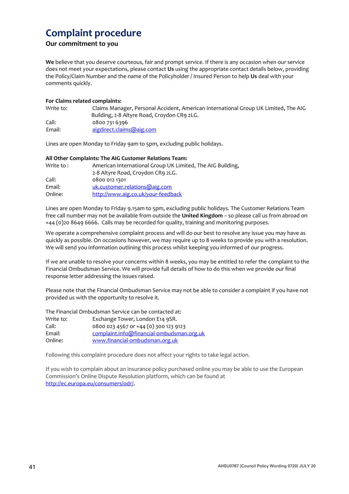# **Complaint procedure**

#### **Our commitment to you**

**We** believe that you deserve courteous, fair and prompt service. If there is any occasion when our service does not meet your expectations, please contact **Us** using the appropriate contact details below, providing the Policy/Claim Number and the name of the Policyholder / Insured Person to help **Us** deal with your comments quickly.

#### **For Claims related complaints:**

| Write to: | Claims Manager, Personal Accident, American International Group UK Limited, The AIG |
|-----------|-------------------------------------------------------------------------------------|
|           | Building, 2-8 Altyre Road, Croydon CR9 2LG.                                         |
| Call:     | 0800 731 6396                                                                       |
| Email:    | aigdirect.claims@aig.com                                                            |

Lines are open Monday to Friday 9am to 5pm, excluding public holidays.

#### **All Other Complaints: The AIG Customer Relations Team:**

| Write to : | American International Group UK Limited, The AIG Building, |
|------------|------------------------------------------------------------|
|            | 2-8 Altyre Road, Croydon CR9 2LG.                          |
| Call:      | 0800 012 1301                                              |
| Email:     | uk.customer.relations@aig.com                              |
| Online:    | http://www.aig.co.uk/your-feedback                         |

Lines are open Monday to Friday 9.15am to 5pm, excluding public holidays. The Customer Relations Team free call number may not be available from outside the **United Kingdom** – so please call us from abroad on +44 (0)20 8649 6666. Calls may be recorded for quality, training and monitoring purposes.

We operate a comprehensive complaint process and will do our best to resolve any issue you may have as quickly as possible. On occasions however, we may require up to 8 weeks to provide you with a resolution. We will send you information outlining this process whilst keeping you informed of our progress.

If we are unable to resolve your concerns within 8 weeks, you may be entitled to refer the complaint to the Financial Ombudsman Service. We will provide full details of how to do this when we provide our final response letter addressing the issues raised.

Please note that the Financial Ombudsman Service may not be able to consider a complaint if you have not provided us with the opportunity to resolve it.

The Financial Ombudsman Service can be contacted at:

| Write to: | Exchange Tower, London E14 9SR.           |
|-----------|-------------------------------------------|
| Call:     | 0800 023 4567 or +44 (0) 300 123 9123     |
| Email:    | complaint.info@financial-ombudsman.org.uk |
| Online:   | www.financial-ombudsman.org.uk            |

Following this complaint procedure does not affect your rights to take legal action.

If you wish to complain about an insurance policy purchased online you may be able to use the European Commission's Online Dispute Resolution platform, which can be found at http://ec.europa.eu/consumers/odr/.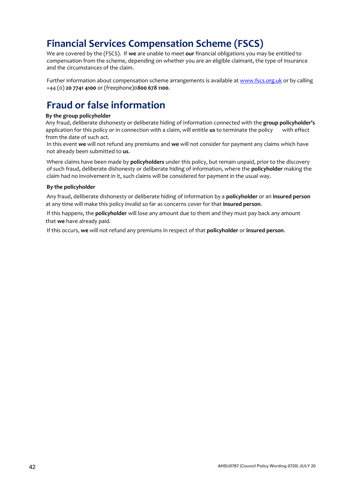# <span id="page-41-0"></span>**Financial Services Compensation Scheme (FSCS)**

We are covered by the (FSCS). If **we** are unable to meet **our** financial obligations you may be entitled to compensation from the scheme, depending on whether you are an eligible claimant, the type of insurance and the circumstances of the claim.

Further information about compensation scheme arrangements is available at www.fscs.org.uk or by calling +44 (0) **20 7741 4100** or (freephone)0**800 678 1100**.

# <span id="page-41-1"></span>**Fraud or false information**

#### **By the group policyholder**

Any fraud, deliberate dishonesty or deliberate hiding of information connected with the **group policyholder's** application for this policy or in connection with a claim, will entitle **us** to terminate the policy with effect from the date of such act.

In this event **we** will not refund any premiums and **we** will not consider for payment any claims which have not already been submitted to **us**.

Where claims have been made by **policyholders** under this policy, but remain unpaid, prior to the discovery of such fraud, deliberate dishonesty or deliberate hiding of information, where the **policyholder** making the claim had no involvement in it, such claims will be considered for payment in the usual way.

#### **By the policyholder**

Any fraud, deliberate dishonesty or deliberate hiding of information by a **policyholder** or an **insured person**  at any time will make this policy invalid so far as concerns cover for that **insured person**.

If this happens, the **policyholder** will lose any amount due to them and they must pay back any amount that **we** have already paid.

If this occurs, **we** will not refund any premiums in respect of that **policyholder** or **insured person**.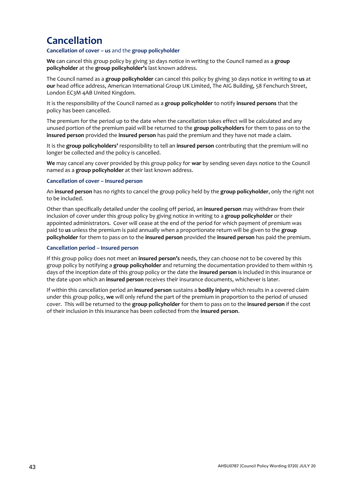# <span id="page-42-0"></span>**Cancellation**

#### **Cancellation of cover** *–* **us** and the **group policyholder**

**We** can cancel this group policy by giving 30 days notice in writing to the Council named as a **group policyholder** at the **group policyholder's** last known address.

The Council named as a **group policyholder** can cancel this policy by giving 30 days notice in writing to **us** at **our** head office address, American International Group UK Limited, The AIG Building, 58 Fenchurch Street, London EC3M 4AB United Kingdom.

It is the responsibility of the Council named as a **group policyholder** to notify **insured persons** that the policy has been cancelled.

The premium for the period up to the date when the cancellation takes effect will be calculated and any unused portion of the premium paid will be returned to the **group policyholders** for them to pass on to the **insured person** provided the **insured person** has paid the premium and they have not made a claim.

It is the **group policyholders'** responsibility to tell an **insured person** contributing that the premium will no longer be collected and the policy is cancelled.

**We** may cancel any cover provided by this group policy for **war** by sending seven days notice to the Council named as a **group policyholder** at their last known address.

#### **Cancellation of cover – Insured person**

An **insured person** has no rights to cancel the group policy held by the **group policyholder**, only the right not to be included.

Other than specifically detailed under the cooling off period, an **insured person** may withdraw from their inclusion of cover under this group policy by giving notice in writing to a **group policyholder** or their appointed administrators. Cover will cease at the end of the period for which payment of premium was paid to **us** unless the premium is paid annually when a proportionate return will be given to the **group policyholder** for them to pass on to the **insured person** provided the **insured person** has paid the premium.

#### **Cancellation period – Insured person**

If this group policy does not meet an **insured person's** needs, they can choose not to be covered by this group policy by notifying a **group policyholder** and returning the documentation provided to them within 15 days of the inception date of this group policy or the date the **insured person** is included in this insurance or the date upon which an **insured person** receives their insurance documents, whichever is later.

If within this cancellation period an **insured person** sustains a **bodily injury** which results in a covered claim under this group policy, **we** will only refund the part of the premium in proportion to the period of unused cover. This will be returned to the **group policyholder** for them to pass on to the **insured person** if the cost of their inclusion in this insurance has been collected from the **insured person**.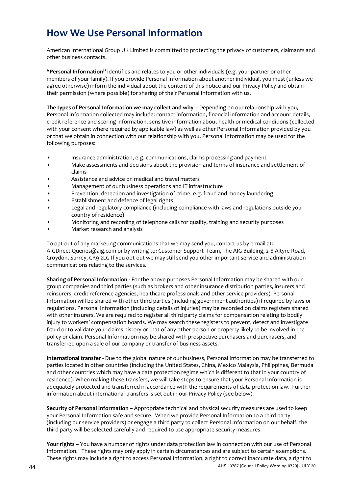# <span id="page-43-0"></span>**How We Use Personal Information**

American International Group UK Limited is committed to protecting the privacy of customers, claimants and other business contacts.

**"Personal Information"** identifies and relates to you or other individuals (e.g. your partner or other members of your family). If you provide Personal Information about another individual, you must (unless we agree otherwise) inform the individual about the content of this notice and our Privacy Policy and obtain their permission (where possible) for sharing of their Personal Information with us.

**The types of Personal Information we may collect and why –** Depending on our relationship with you, Personal Information collected may include: contact information, financial information and account details, credit reference and scoring information, sensitive information about health or medical conditions (collected with your consent where required by applicable law) as well as other Personal Information provided by you or that we obtain in connection with our relationship with you. Personal Information may be used for the following purposes:

- Insurance administration, e.g. communications, claims processing and payment
- Make assessments and decisions about the provision and terms of insurance and settlement of claims
- Assistance and advice on medical and travel matters
- Management of our business operations and IT infrastructure
- Prevention, detection and investigation of crime, e.g. fraud and money laundering
- Establishment and defence of legal rights
- Legal and regulatory compliance (including compliance with laws and regulations outside your country of residence)
- Monitoring and recording of telephone calls for quality, training and security purposes
- Market research and analysis

To opt-out of any marketing communications that we may send you, contact us by e-mail at: AIGDirect.Queries@aig.com or by writing to: Customer Support Team, The AIG Building, 2-8 Altyre Road, Croydon, Surrey, CR9 2LG If you opt-out we may still send you other important service and administration communications relating to the services.

**Sharing of Personal Information -** For the above purposes Personal Information may be shared with our group companies and third parties (such as brokers and other insurance distribution parties, insurers and reinsurers, credit reference agencies, healthcare professionals and other service providers). Personal Information will be shared with other third parties (including government authorities) if required by laws or regulations. Personal Information (including details of injuries) may be recorded on claims registers shared with other insurers. We are required to register all third party claims for compensation relating to bodily injury to workers' compensation boards. We may search these registers to prevent, detect and investigate fraud or to validate your claims history or that of any other person or property likely to be involved in the policy or claim. Personal Information may be shared with prospective purchasers and purchasers, and transferred upon a sale of our company or transfer of business assets.

**International transfer -** Due to the global nature of our business, Personal Information may be transferred to parties located in other countries (including the United States, China, Mexico Malaysia, Philippines, Bermuda and other countries which may have a data protection regime which is different to that in your country of residence). When making these transfers, we will take steps to ensure that your Personal Information is adequately protected and transferred in accordance with the requirements of data protection law. Further information about international transfers is set out in our Privacy Policy (see below).

**Security of Personal Information –** Appropriate technical and physical security measures are used to keep your Personal Information safe and secure. When we provide Personal Information to a third party (including our service providers) or engage a third party to collect Personal Information on our behalf, the third party will be selected carefully and required to use appropriate security measures.

**Your rights –** You have a number of rights under data protection law in connection with our use of Personal Information. These rights may only apply in certain circumstances and are subject to certain exemptions. These rights may include a right to access Personal Information, a right to correct inaccurate data, a right to